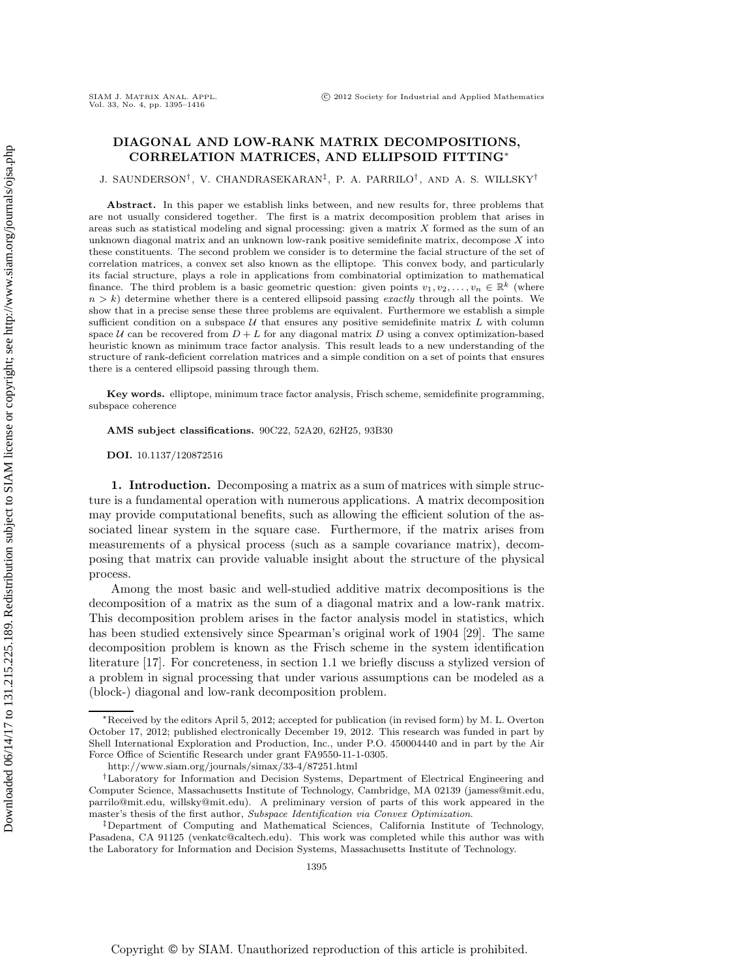# **DIAGONAL AND LOW-RANK MATRIX DECOMPOSITIONS, CORRELATION MATRICES, AND ELLIPSOID FITTING**<sup>∗</sup>

J. SAUNDERSON†, V. CHANDRASEKARAN‡, P. A. PARRILO† , AND A. S. WILLSKY†

**Abstract.** In this paper we establish links between, and new results for, three problems that are not usually considered together. The first is a matrix decomposition problem that arises in areas such as statistical modeling and signal processing: given a matrix  $X$  formed as the sum of an unknown diagonal matrix and an unknown low-rank positive semidefinite matrix, decompose  $X$  into these constituents. The second problem we consider is to determine the facial structure of the set of correlation matrices, a convex set also known as the elliptope. This convex body, and particularly its facial structure, plays a role in applications from combinatorial optimization to mathematical finance. The third problem is a basic geometric question: given points  $v_1, v_2, \ldots, v_n \in \mathbb{R}^k$  (where  $n>k$ ) determine whether there is a centered ellipsoid passing exactly through all the points. We show that in a precise sense these three problems are equivalent. Furthermore we establish a simple sufficient condition on a subspace  $U$  that ensures any positive semidefinite matrix  $L$  with column space U can be recovered from  $D + L$  for any diagonal matrix D using a convex optimization-based heuristic known as minimum trace factor analysis. This result leads to a new understanding of the structure of rank-deficient correlation matrices and a simple condition on a set of points that ensures there is a centered ellipsoid passing through them.

**Key words.** elliptope, minimum trace factor analysis, Frisch scheme, semidefinite programming, subspace coherence

**AMS subject classifications.** 90C22, 52A20, 62H25, 93B30

**DOI.** 10.1137/120872516

**1. Introduction.** Decomposing a matrix as a sum of matrices with simple structure is a fundamental operation with numerous applications. A matrix decomposition may provide computational benefits, such as allowing the efficient solution of the associated linear system in the square case. Furthermore, if the matrix arises from measurements of a physical process (such as a sample covariance matrix), decomposing that matrix can provide valuable insight about the structure of the physical process.

Among the most basic and well-studied additive matrix decompositions is the decomposition of a matrix as the sum of a diagonal matrix and a low-rank matrix. This decomposition problem arises in the factor analysis model in statistics, which has been studied extensively since Spearman's original work of 1904 [29]. The same decomposition problem is known as the Frisch scheme in the system identification literature [17]. For concreteness, in section 1.1 we briefly discuss a stylized version of a problem in signal processing that under various assumptions can be modeled as a (block-) diagonal and low-rank decomposition problem.

<sup>∗</sup>Received by the editors April 5, 2012; accepted for publication (in revised form) by M. L. Overton October 17, 2012; published electronically December 19, 2012. This research was funded in part by Shell International Exploration and Production, Inc., under P.O. 450004440 and in part by the Air Force Office of Scientific Research under grant FA9550-11-1-0305.

http://www.siam.org/journals/simax/33-4/87251.html

<sup>†</sup>Laboratory for Information and Decision Systems, Department of Electrical Engineering and Computer Science, Massachusetts Institute of Technology, Cambridge, MA 02139 (jamess@mit.edu, parrilo@mit.edu, willsky@mit.edu). A preliminary version of parts of this work appeared in the master's thesis of the first author, Subspace Identification via Convex Optimization.

<sup>‡</sup>Department of Computing and Mathematical Sciences, California Institute of Technology, Pasadena, CA 91125 (venkatc@caltech.edu). This work was completed while this author was with the Laboratory for Information and Decision Systems, Massachusetts Institute of Technology.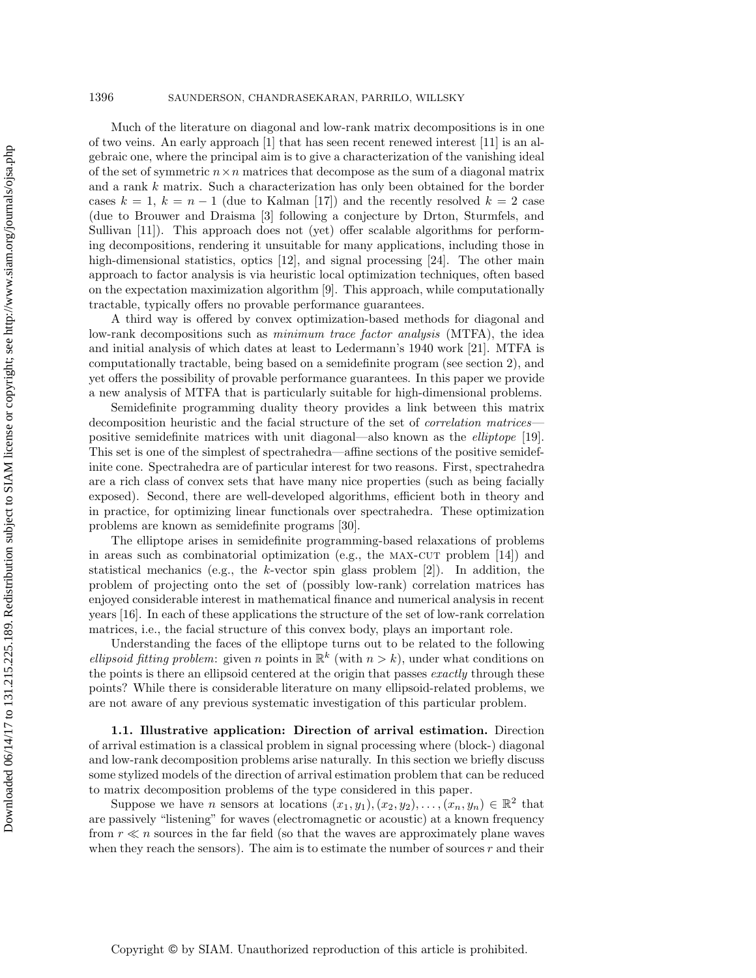Much of the literature on diagonal and low-rank matrix decompositions is in one of two veins. An early approach [1] that has seen recent renewed interest [11] is an algebraic one, where the principal aim is to give a characterization of the vanishing ideal of the set of symmetric  $n \times n$  matrices that decompose as the sum of a diagonal matrix and a rank k matrix. Such a characterization has only been obtained for the border cases  $k = 1$ ,  $k = n - 1$  (due to Kalman [17]) and the recently resolved  $k = 2$  case (due to Brouwer and Draisma [3] following a conjecture by Drton, Sturmfels, and Sullivan [11]). This approach does not (yet) offer scalable algorithms for performing decompositions, rendering it unsuitable for many applications, including those in high-dimensional statistics, optics [12], and signal processing [24]. The other main approach to factor analysis is via heuristic local optimization techniques, often based on the expectation maximization algorithm [9]. This approach, while computationally tractable, typically offers no provable performance guarantees.

A third way is offered by convex optimization-based methods for diagonal and low-rank decompositions such as *minimum trace factor analysis* (MTFA), the idea and initial analysis of which dates at least to Ledermann's 1940 work [21]. MTFA is computationally tractable, being based on a semidefinite program (see section 2), and yet offers the possibility of provable performance guarantees. In this paper we provide a new analysis of MTFA that is particularly suitable for high-dimensional problems.

Semidefinite programming duality theory provides a link between this matrix decomposition heuristic and the facial structure of the set of *correlation matrices* positive semidefinite matrices with unit diagonal—also known as the *elliptope* [19]. This set is one of the simplest of spectrahedra—affine sections of the positive semidefinite cone. Spectrahedra are of particular interest for two reasons. First, spectrahedra are a rich class of convex sets that have many nice properties (such as being facially exposed). Second, there are well-developed algorithms, efficient both in theory and in practice, for optimizing linear functionals over spectrahedra. These optimization problems are known as semidefinite programs [30].

The elliptope arises in semidefinite programming-based relaxations of problems in areas such as combinatorial optimization (e.g., the MAX-CUT problem  $[14]$ ) and statistical mechanics (e.g., the k-vector spin glass problem  $[2]$ ). In addition, the problem of projecting onto the set of (possibly low-rank) correlation matrices has enjoyed considerable interest in mathematical finance and numerical analysis in recent years [16]. In each of these applications the structure of the set of low-rank correlation matrices, i.e., the facial structure of this convex body, plays an important role.

Understanding the faces of the elliptope turns out to be related to the following *ellipsoid fitting problem*: given n points in  $\mathbb{R}^k$  (with  $n>k$ ), under what conditions on the points is there an ellipsoid centered at the origin that passes *exactly* through these points? While there is considerable literature on many ellipsoid-related problems, we are not aware of any previous systematic investigation of this particular problem.

**1.1. Illustrative application: Direction of arrival estimation.** Direction of arrival estimation is a classical problem in signal processing where (block-) diagonal and low-rank decomposition problems arise naturally. In this section we briefly discuss some stylized models of the direction of arrival estimation problem that can be reduced to matrix decomposition problems of the type considered in this paper.

Suppose we have *n* sensors at locations  $(x_1, y_1), (x_2, y_2), \ldots, (x_n, y_n) \in \mathbb{R}^2$  that are passively "listening" for waves (electromagnetic or acoustic) at a known frequency from  $r \ll n$  sources in the far field (so that the waves are approximately plane waves when they reach the sensors). The aim is to estimate the number of sources  $r$  and their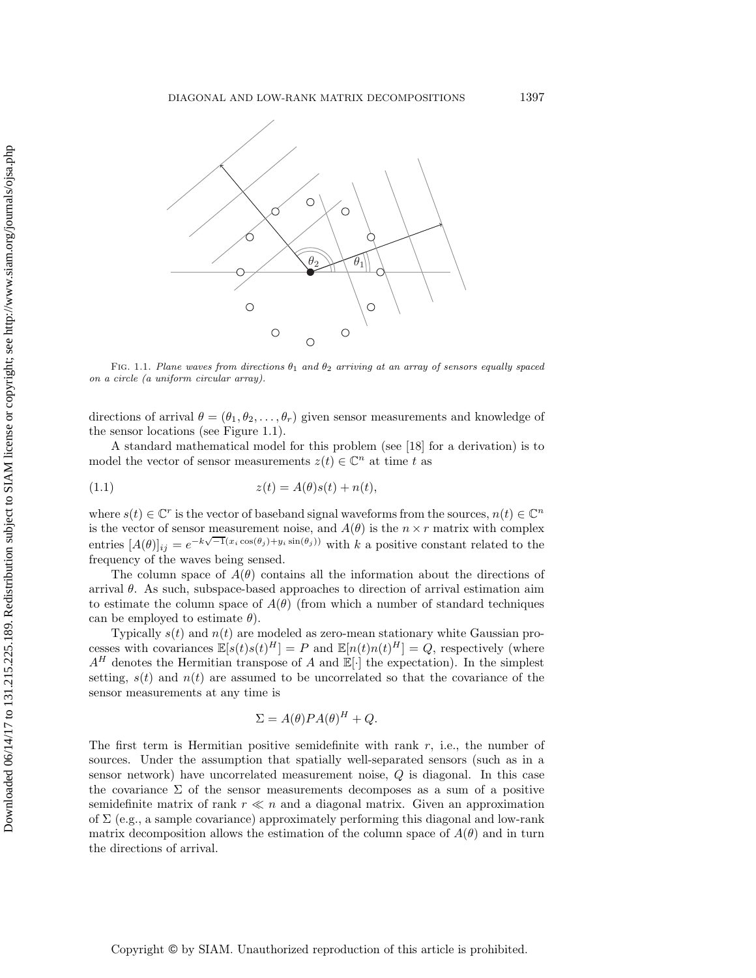

FIG. 1.1. Plane waves from directions  $\theta_1$  and  $\theta_2$  arriving at an array of sensors equally spaced on a circle (a uniform circular array).

directions of arrival  $\theta = (\theta_1, \theta_2, \dots, \theta_r)$  given sensor measurements and knowledge of the sensor locations (see Figure 1.1).

A standard mathematical model for this problem (see [18] for a derivation) is to model the vector of sensor measurements  $z(t) \in \mathbb{C}^n$  at time t as

(1.1) 
$$
z(t) = A(\theta)s(t) + n(t),
$$

where  $s(t) \in \mathbb{C}^r$  is the vector of baseband signal waveforms from the sources,  $n(t) \in \mathbb{C}^n$ is the vector of sensor measurement noise, and  $A(\theta)$  is the  $n \times r$  matrix with complex entries  $[A(\theta)]_{ij} = e^{-k\sqrt{-1}(x_i \cos(\theta_j) + y_i \sin(\theta_j))}$  with k a positive constant related to the frequency of the waves being sensed.

The column space of  $A(\theta)$  contains all the information about the directions of arrival  $\theta$ . As such, subspace-based approaches to direction of arrival estimation aim to estimate the column space of  $A(\theta)$  (from which a number of standard techniques can be employed to estimate  $\theta$ ).

Typically  $s(t)$  and  $n(t)$  are modeled as zero-mean stationary white Gaussian processes with covariances  $\mathbb{E}[s(t)s(t)^{H}] = P$  and  $\mathbb{E}[n(t)n(t)^{H}] = Q$ , respectively (where  $A^H$  denotes the Hermitian transpose of A and  $\mathbb{E}[\cdot]$  the expectation). In the simplest setting,  $s(t)$  and  $n(t)$  are assumed to be uncorrelated so that the covariance of the sensor measurements at any time is

$$
\Sigma = A(\theta) P A(\theta)^H + Q.
$$

The first term is Hermitian positive semidefinite with rank  $r$ , i.e., the number of sources. Under the assumption that spatially well-separated sensors (such as in a sensor network) have uncorrelated measurement noise, Q is diagonal. In this case the covariance  $\Sigma$  of the sensor measurements decomposes as a sum of a positive semidefinite matrix of rank  $r \ll n$  and a diagonal matrix. Given an approximation of  $\Sigma$  (e.g., a sample covariance) approximately performing this diagonal and low-rank matrix decomposition allows the estimation of the column space of  $A(\theta)$  and in turn the directions of arrival.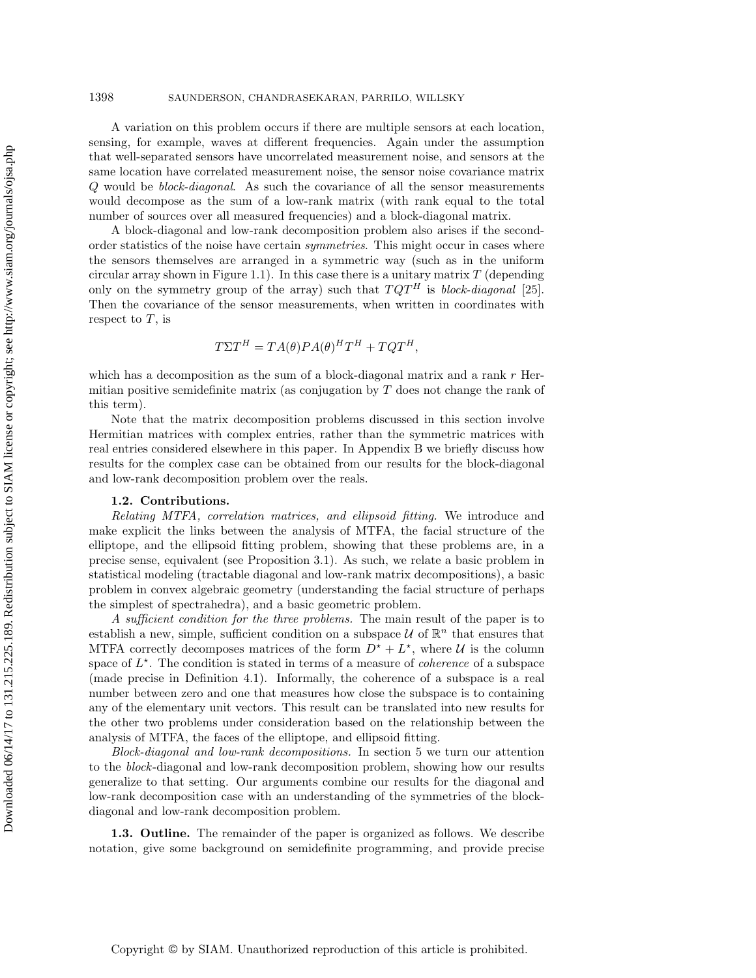A variation on this problem occurs if there are multiple sensors at each location, sensing, for example, waves at different frequencies. Again under the assumption that well-separated sensors have uncorrelated measurement noise, and sensors at the same location have correlated measurement noise, the sensor noise covariance matrix Q would be *block-diagonal*. As such the covariance of all the sensor measurements would decompose as the sum of a low-rank matrix (with rank equal to the total number of sources over all measured frequencies) and a block-diagonal matrix.

A block-diagonal and low-rank decomposition problem also arises if the secondorder statistics of the noise have certain *symmetries*. This might occur in cases where the sensors themselves are arranged in a symmetric way (such as in the uniform circular array shown in Figure 1.1). In this case there is a unitary matrix  $T$  (depending only on the symmetry group of the array) such that  $TQT<sup>H</sup>$  is *block-diagonal* [25]. Then the covariance of the sensor measurements, when written in coordinates with respect to  $T$ , is

$$
T\Sigma T^H = TA(\theta)PA(\theta)^H T^H + TQT^H,
$$

which has a decomposition as the sum of a block-diagonal matrix and a rank  $r$  Hermitian positive semidefinite matrix (as conjugation by  $T$  does not change the rank of this term).

Note that the matrix decomposition problems discussed in this section involve Hermitian matrices with complex entries, rather than the symmetric matrices with real entries considered elsewhere in this paper. In Appendix B we briefly discuss how results for the complex case can be obtained from our results for the block-diagonal and low-rank decomposition problem over the reals.

## **1.2. Contributions.**

*Relating MTFA, correlation matrices, and ellipsoid fitting.* We introduce and make explicit the links between the analysis of MTFA, the facial structure of the elliptope, and the ellipsoid fitting problem, showing that these problems are, in a precise sense, equivalent (see Proposition 3.1). As such, we relate a basic problem in statistical modeling (tractable diagonal and low-rank matrix decompositions), a basic problem in convex algebraic geometry (understanding the facial structure of perhaps the simplest of spectrahedra), and a basic geometric problem.

*A sufficient condition for the three problems.* The main result of the paper is to establish a new, simple, sufficient condition on a subspace  $\mathcal U$  of  $\mathbb R^n$  that ensures that MTFA correctly decomposes matrices of the form  $D^* + L^*$ , where U is the column space of  $L^*$ . The condition is stated in terms of a measure of *coherence* of a subspace (made precise in Definition 4.1). Informally, the coherence of a subspace is a real number between zero and one that measures how close the subspace is to containing any of the elementary unit vectors. This result can be translated into new results for the other two problems under consideration based on the relationship between the analysis of MTFA, the faces of the elliptope, and ellipsoid fitting.

*Block-diagonal and low-rank decompositions.* In section 5 we turn our attention to the *block*-diagonal and low-rank decomposition problem, showing how our results generalize to that setting. Our arguments combine our results for the diagonal and low-rank decomposition case with an understanding of the symmetries of the blockdiagonal and low-rank decomposition problem.

**1.3. Outline.** The remainder of the paper is organized as follows. We describe notation, give some background on semidefinite programming, and provide precise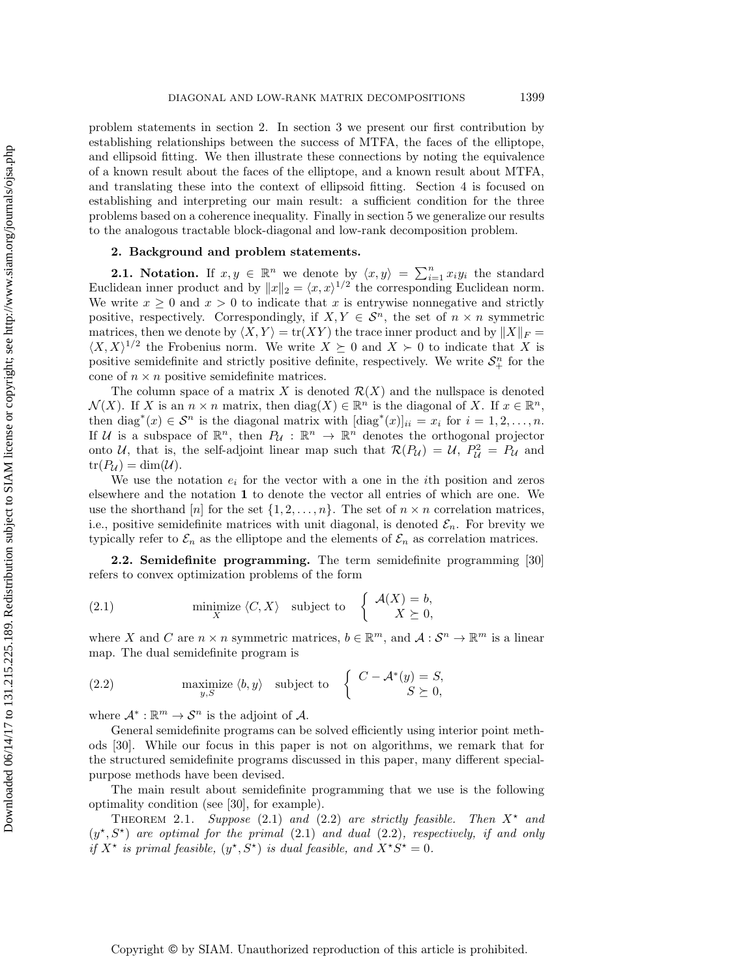problem statements in section 2. In section 3 we present our first contribution by establishing relationships between the success of MTFA, the faces of the elliptope, and ellipsoid fitting. We then illustrate these connections by noting the equivalence of a known result about the faces of the elliptope, and a known result about MTFA, and translating these into the context of ellipsoid fitting. Section 4 is focused on establishing and interpreting our main result: a sufficient condition for the three problems based on a coherence inequality. Finally in section 5 we generalize our results to the analogous tractable block-diagonal and low-rank decomposition problem.

## **2. Background and problem statements.**

**2.1.** Notation. If  $x, y \in \mathbb{R}^n$  we denote by  $\langle x, y \rangle = \sum_{i=1}^n x_i y_i$  the standard Euclidean inner product and by  $||x||_2 = \langle x, x \rangle^{1/2}$  the corresponding Euclidean norm. We write  $x \geq 0$  and  $x \geq 0$  to indicate that x is entrywise nonnegative and strictly positive, respectively. Correspondingly, if  $X, Y \in \mathcal{S}^n$ , the set of  $n \times n$  symmetric matrices, then we denote by  $\langle X, Y \rangle = \text{tr}(XY)$  the trace inner product and by  $||X||_F =$  $\langle X, X \rangle^{1/2}$  the Frobenius norm. We write  $X \succeq 0$  and  $X \succ 0$  to indicate that X is positive semidefinite and strictly positive definite, respectively. We write  $S_{+}^{n}$  for the cone of  $n \times n$  positive semidefinite matrices.

The column space of a matrix X is denoted  $\mathcal{R}(X)$  and the nullspace is denoted  $\mathcal{N}(X)$ . If X is an  $n \times n$  matrix, then  $\text{diag}(X) \in \mathbb{R}^n$  is the diagonal of X. If  $x \in \mathbb{R}^n$ , then diag<sup>\*</sup>(x) ∈  $S<sup>n</sup>$  is the diagonal matrix with  $[\text{diag}^{*}(x)]_{ii} = x_i$  for  $i = 1, 2, ..., n$ . If U is a subspace of  $\mathbb{R}^n$ , then  $P_{\mathcal{U}} : \mathbb{R}^n \to \mathbb{R}^n$  denotes the orthogonal projector onto U, that is, the self-adjoint linear map such that  $\mathcal{R}(P_U) = U$ ,  $P_U^2 = P_U$  and  $tr(P_{\mathcal{U}}) = dim(\mathcal{U}).$ 

We use the notation  $e_i$  for the vector with a one in the *i*th position and zeros elsewhere and the notation **1** to denote the vector all entries of which are one. We use the shorthand [n] for the set  $\{1, 2, ..., n\}$ . The set of  $n \times n$  correlation matrices, i.e., positive semidefinite matrices with unit diagonal, is denoted  $\mathcal{E}_n$ . For brevity we typically refer to  $\mathcal{E}_n$  as the elliptope and the elements of  $\mathcal{E}_n$  as correlation matrices.

**2.2. Semidefinite programming.** The term semidefinite programming [30] refers to convex optimization problems of the form

(2.1) minimize 
$$
\langle C, X \rangle
$$
 subject to  $\begin{cases} \mathcal{A}(X) = b, \\ X \succeq 0, \end{cases}$ 

where X and C are  $n \times n$  symmetric matrices,  $b \in \mathbb{R}^m$ , and  $\mathcal{A}: \mathcal{S}^n \to \mathbb{R}^m$  is a linear map. The dual semidefinite program is

(2.2) 
$$
\begin{array}{ll}\text{maximize } \langle b, y \rangle & \text{subject to} & \left\{ \begin{array}{l} C - \mathcal{A}^*(y) = S, \\ S \succeq 0, \end{array} \right. \end{array}
$$

where  $\mathcal{A}^* : \mathbb{R}^m \to \mathcal{S}^n$  is the adjoint of  $\mathcal{A}$ .

General semidefinite programs can be solved efficiently using interior point methods [30]. While our focus in this paper is not on algorithms, we remark that for the structured semidefinite programs discussed in this paper, many different specialpurpose methods have been devised.

The main result about semidefinite programming that we use is the following optimality condition (see [30], for example).

THEOREM 2.1. *Suppose* (2.1) and (2.2) are strictly feasible. Then  $X^*$  and  $(y^*, S^*)$  are optimal for the primal  $(2.1)$  and dual  $(2.2)$ *, respectively, if and only if*  $X^*$  *is primal feasible,*  $(y^*, S^*)$  *is dual feasible, and*  $X^*S^* = 0$ *.*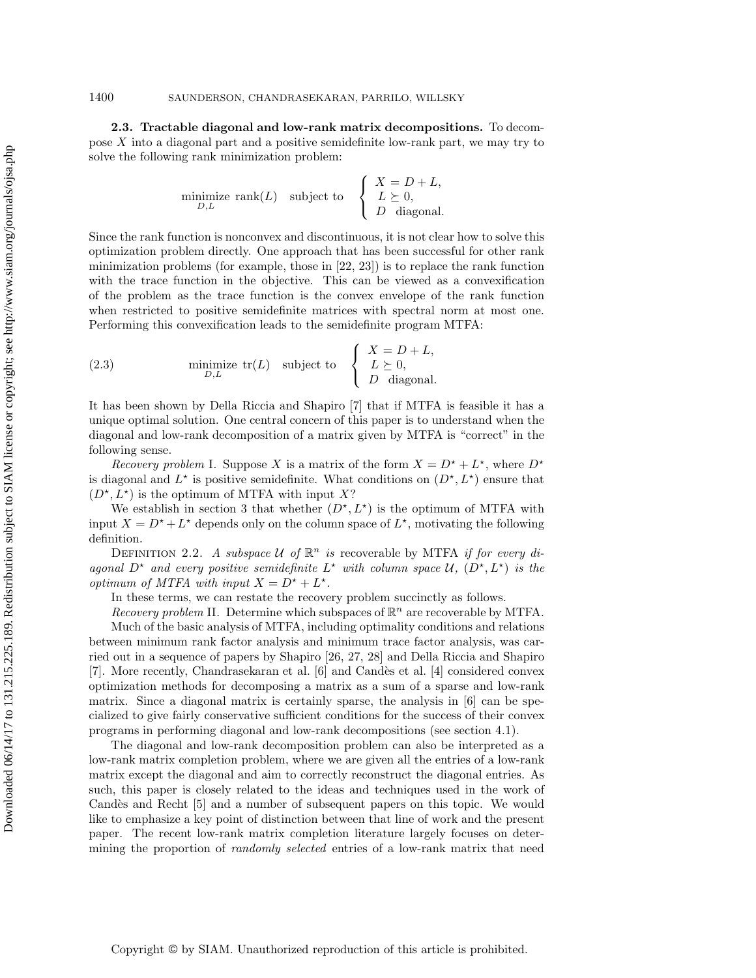**2.3. Tractable diagonal and low-rank matrix decompositions.** To decompose X into a diagonal part and a positive semidefinite low-rank part, we may try to solve the following rank minimization problem:

$$
\underset{D,L}{\text{minimize}} \ \text{rank}(L) \quad \text{subject to} \quad \begin{cases} \begin{array}{c} X = D + L, \\ L \succeq 0, \\ D \quad \text{diagonal.} \end{array} \end{cases}
$$

Since the rank function is nonconvex and discontinuous, it is not clear how to solve this optimization problem directly. One approach that has been successful for other rank minimization problems (for example, those in [22, 23]) is to replace the rank function with the trace function in the objective. This can be viewed as a convexification of the problem as the trace function is the convex envelope of the rank function when restricted to positive semidefinite matrices with spectral norm at most one. Performing this convexification leads to the semidefinite program MTFA:

(2.3) 
$$
\text{minimize } \text{tr}(L) \quad \text{subject to} \quad \begin{cases} X = D + L, \\ L \succeq 0, \\ D \quad \text{diagonal.} \end{cases}
$$

It has been shown by Della Riccia and Shapiro [7] that if MTFA is feasible it has a unique optimal solution. One central concern of this paper is to understand when the diagonal and low-rank decomposition of a matrix given by MTFA is "correct" in the following sense.

*Recovery problem* I. Suppose X is a matrix of the form  $X = D^* + L^*$ , where  $D^*$ is diagonal and  $L^*$  is positive semidefinite. What conditions on  $(D^*, L^*)$  ensure that  $(D^{\star}, L^{\star})$  is the optimum of MTFA with input X?

We establish in section 3 that whether  $(D^*, L^*)$  is the optimum of MTFA with input  $X = D^* + L^*$  depends only on the column space of  $L^*$ , motivating the following definition.

DEFINITION 2.2. A subspace U of  $\mathbb{R}^n$  is recoverable by MTFA *if for every diagonal*  $D^*$  *and every positive semidefinite*  $L^*$  *with column space*  $U$ *,*  $(D^*, L^*)$  *is the optimum of MTFA with input*  $X = D^* + L^*$ .

In these terms, we can restate the recovery problem succinctly as follows.

*Recovery problem* II. Determine which subspaces of  $\mathbb{R}^n$  are recoverable by MTFA.

Much of the basic analysis of MTFA, including optimality conditions and relations between minimum rank factor analysis and minimum trace factor analysis, was carried out in a sequence of papers by Shapiro [26, 27, 28] and Della Riccia and Shapiro [7]. More recently, Chandrasekaran et al. [6] and Cand`es et al. [4] considered convex optimization methods for decomposing a matrix as a sum of a sparse and low-rank matrix. Since a diagonal matrix is certainly sparse, the analysis in [6] can be specialized to give fairly conservative sufficient conditions for the success of their convex programs in performing diagonal and low-rank decompositions (see section 4.1).

The diagonal and low-rank decomposition problem can also be interpreted as a low-rank matrix completion problem, where we are given all the entries of a low-rank matrix except the diagonal and aim to correctly reconstruct the diagonal entries. As such, this paper is closely related to the ideas and techniques used in the work of Candès and Recht [5] and a number of subsequent papers on this topic. We would like to emphasize a key point of distinction between that line of work and the present paper. The recent low-rank matrix completion literature largely focuses on determining the proportion of *randomly selected* entries of a low-rank matrix that need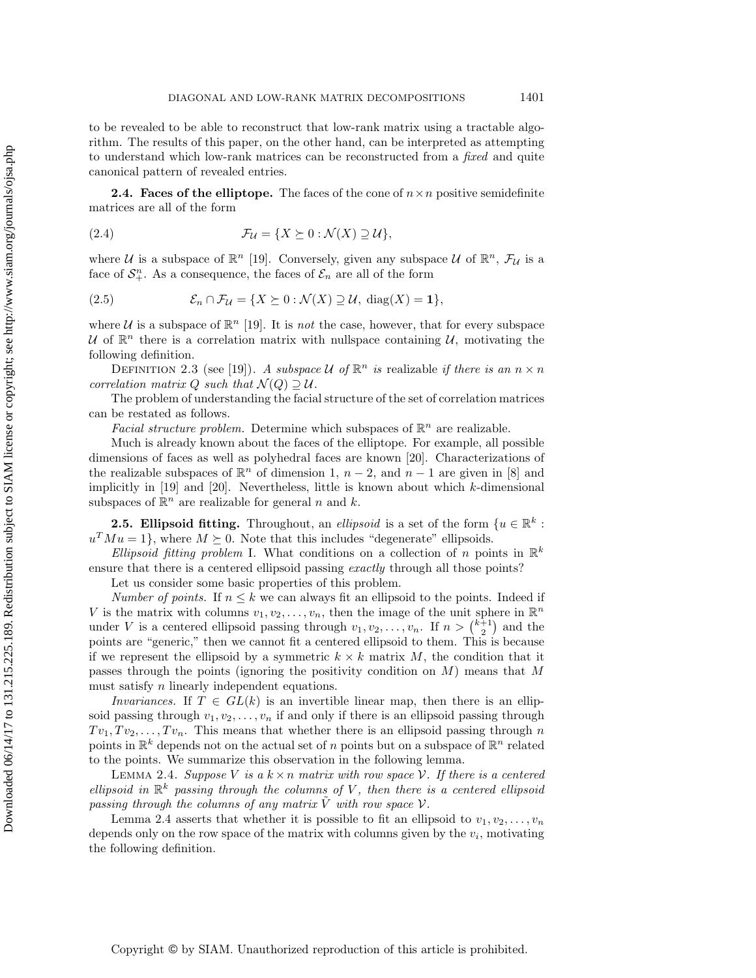to be revealed to be able to reconstruct that low-rank matrix using a tractable algorithm. The results of this paper, on the other hand, can be interpreted as attempting to understand which low-rank matrices can be reconstructed from a *fixed* and quite canonical pattern of revealed entries.

**2.4. Faces of the elliptope.** The faces of the cone of  $n \times n$  positive semidefinite matrices are all of the form

(2.4) 
$$
\mathcal{F}_{\mathcal{U}} = \{ X \succeq 0 : \mathcal{N}(X) \supseteq \mathcal{U} \},
$$

where U is a subspace of  $\mathbb{R}^n$  [19]. Conversely, given any subspace U of  $\mathbb{R}^n$ ,  $\mathcal{F}_U$  is a face of  $S_{+}^{n}$ . As a consequence, the faces of  $\mathcal{E}_{n}$  are all of the form

(2.5) 
$$
\mathcal{E}_n \cap \mathcal{F}_{\mathcal{U}} = \{ X \succeq 0 : \mathcal{N}(X) \supseteq \mathcal{U}, \text{ diag}(X) = 1 \},
$$

where U is a subspace of  $\mathbb{R}^n$  [19]. It is *not* the case, however, that for every subspace U of  $\mathbb{R}^n$  there is a correlation matrix with nullspace containing U, motivating the following definition.

DEFINITION 2.3 (see [19]). *A subspace*  $U$  *of*  $\mathbb{R}^n$  *is* realizable *if there is an*  $n \times n$ *correlation matrix* Q *such that*  $\mathcal{N}(Q) \supset \mathcal{U}$ .

The problem of understanding the facial structure of the set of correlation matrices can be restated as follows.

*Facial structure problem.* Determine which subspaces of  $\mathbb{R}^n$  are realizable.

Much is already known about the faces of the elliptope. For example, all possible dimensions of faces as well as polyhedral faces are known [20]. Characterizations of the realizable subspaces of  $\mathbb{R}^n$  of dimension 1,  $n-2$ , and  $n-1$  are given in [8] and implicitly in  $[19]$  and  $[20]$ . Nevertheless, little is known about which  $k$ -dimensional subspaces of  $\mathbb{R}^n$  are realizable for general n and k.

**2.5. Ellipsoid fitting.** Throughout, an *ellipsoid* is a set of the form  $\{u \in \mathbb{R}^k :$  $u^T M u = 1$ , where  $M \succeq 0$ . Note that this includes "degenerate" ellipsoids.

*Ellipsoid fitting problem* I. What conditions on a collection of n points in  $\mathbb{R}^k$ ensure that there is a centered ellipsoid passing *exactly* through all those points?

Let us consider some basic properties of this problem.

*Number of points.* If  $n \leq k$  we can always fit an ellipsoid to the points. Indeed if V is the matrix with columns  $v_1, v_2, \ldots, v_n$ , then the image of the unit sphere in  $\mathbb{R}^n$ under V is a centered ellipsoid passing through  $v_1, v_2, \ldots, v_n$ . If  $n > \binom{k+1}{2}$  and the points are "generic," then we cannot fit a centered ellipsoid to them. This is because if we represent the ellipsoid by a symmetric  $k \times k$  matrix M, the condition that it passes through the points (ignoring the positivity condition on  $M$ ) means that  $M$ must satisfy *n* linearly independent equations.

*Invariances.* If  $T \in GL(k)$  is an invertible linear map, then there is an ellipsoid passing through  $v_1, v_2, \ldots, v_n$  if and only if there is an ellipsoid passing through  $Tv_1, Tv_2, \ldots, Tv_n$ . This means that whether there is an ellipsoid passing through n points in  $\mathbb{R}^k$  depends not on the actual set of n points but on a subspace of  $\mathbb{R}^n$  related to the points. We summarize this observation in the following lemma.

LEMMA 2.4. *Suppose* V *is a*  $k \times n$  *matrix with row space* V. If there is a centered *ellipsoid in*  $\mathbb{R}^k$  passing through the columns of V, then there is a centered ellipsoid *passing through the columns of any matrix* V *with row space* V.

Lemma 2.4 asserts that whether it is possible to fit an ellipsoid to  $v_1, v_2, \ldots, v_n$ depends only on the row space of the matrix with columns given by the  $v_i$ , motivating the following definition.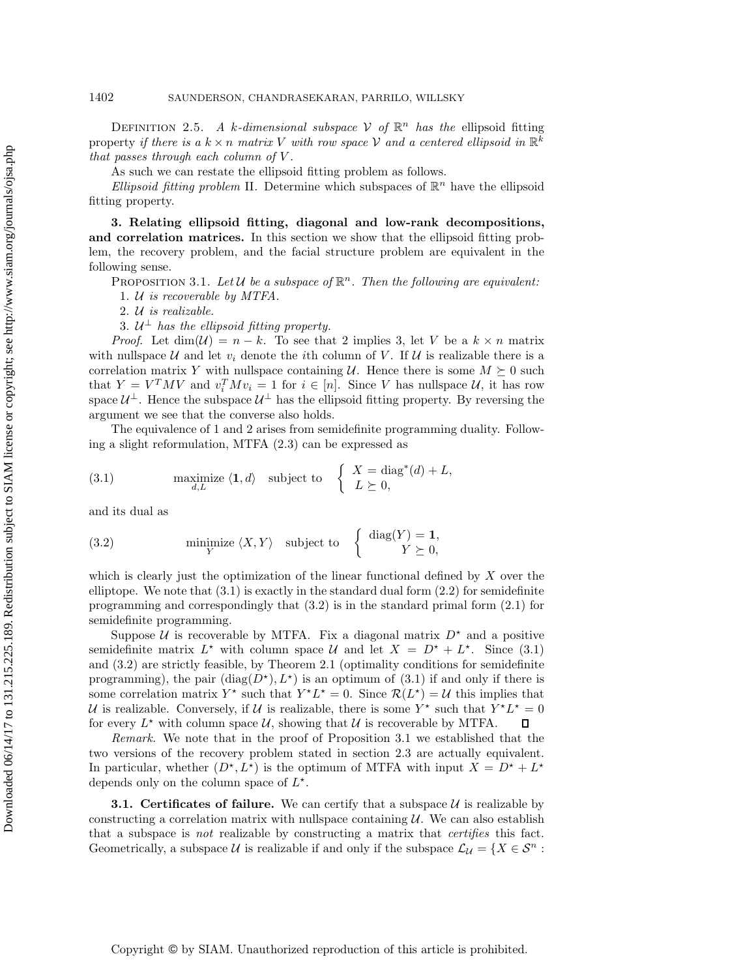DEFINITION 2.5. A k-dimensional subspace  $\mathcal V$  of  $\mathbb{R}^n$  has the ellipsoid fitting property *if there is a*  $k \times n$  *matrix* V *with row space* V *and a centered ellipsoid in*  $\mathbb{R}^k$ *that passes through each column of* V *.*

As such we can restate the ellipsoid fitting problem as follows.

*Ellipsoid fitting problem* II. Determine which subspaces of  $\mathbb{R}^n$  have the ellipsoid fitting property.

**3. Relating ellipsoid fitting, diagonal and low-rank decompositions, and correlation matrices.** In this section we show that the ellipsoid fitting problem, the recovery problem, and the facial structure problem are equivalent in the following sense.

PROPOSITION 3.1. Let  $\mathcal U$  be a subspace of  $\mathbb R^n$ . Then the following are equivalent:

1. U *is recoverable by MTFA.*

2. U *is realizable.*

3.  $U^{\perp}$  has the ellipsoid fitting property.

*Proof.* Let  $\dim(\mathcal{U}) = n - k$ . To see that 2 implies 3, let V be a  $k \times n$  matrix with nullspace U and let  $v_i$  denote the *i*th column of V. If U is realizable there is a correlation matrix Y with nullspace containing U. Hence there is some  $M \succeq 0$  such that  $Y = V^T M V$  and  $v_i^T M v_i = 1$  for  $i \in [n]$ . Since V has nullspace U, it has row space  $\mathcal{U}^{\perp}$ . Hence the subspace  $\mathcal{U}^{\perp}$  has the ellipsoid fitting property. By reversing the argument we see that the converse also holds.

The equivalence of 1 and 2 arises from semidefinite programming duality. Following a slight reformulation, MTFA (2.3) can be expressed as

(3.1) maximize 
$$
\langle 1, d \rangle
$$
 subject to  $\begin{cases} X = \text{diag}^*(d) + L, \\ L \succeq 0, \end{cases}$ 

and its dual as

(3.2) minimize 
$$
\langle X, Y \rangle
$$
 subject to  $\begin{cases} \text{diag}(Y) = 1, \\ Y \succeq 0, \end{cases}$ 

which is clearly just the optimization of the linear functional defined by  $X$  over the elliptope. We note that  $(3.1)$  is exactly in the standard dual form  $(2.2)$  for semidefinite programming and correspondingly that (3.2) is in the standard primal form (2.1) for semidefinite programming.

Suppose U is recoverable by MTFA. Fix a diagonal matrix  $D^*$  and a positive semidefinite matrix  $L^*$  with column space U and let  $X = D^* + L^*$ . Since (3.1) and (3.2) are strictly feasible, by Theorem 2.1 (optimality conditions for semidefinite programming), the pair  $(\text{diag}(D^*), L^*)$  is an optimum of (3.1) if and only if there is some correlation matrix  $Y^*$  such that  $Y^*L^* = 0$ . Since  $\mathcal{R}(L^*) = \mathcal{U}$  this implies that U is realizable. Conversely, if U is realizable, there is some  $Y^*$  such that  $Y^*L^* = 0$ for every  $L^*$  with column space U, showing that U is recoverable by MTFA.

*Remark.* We note that in the proof of Proposition 3.1 we established that the two versions of the recovery problem stated in section 2.3 are actually equivalent. In particular, whether  $(D^*, L^*)$  is the optimum of MTFA with input  $X = D^* + L^*$ depends only on the column space of  $L^*$ .

**3.1. Certificates of failure.** We can certify that a subspace  $\mathcal{U}$  is realizable by constructing a correlation matrix with nullspace containing  $U$ . We can also establish that a subspace is *not* realizable by constructing a matrix that *certifies* this fact. Geometrically, a subspace U is realizable if and only if the subspace  $\mathcal{L}_{\mathcal{U}} = \{X \in \mathcal{S}^n :$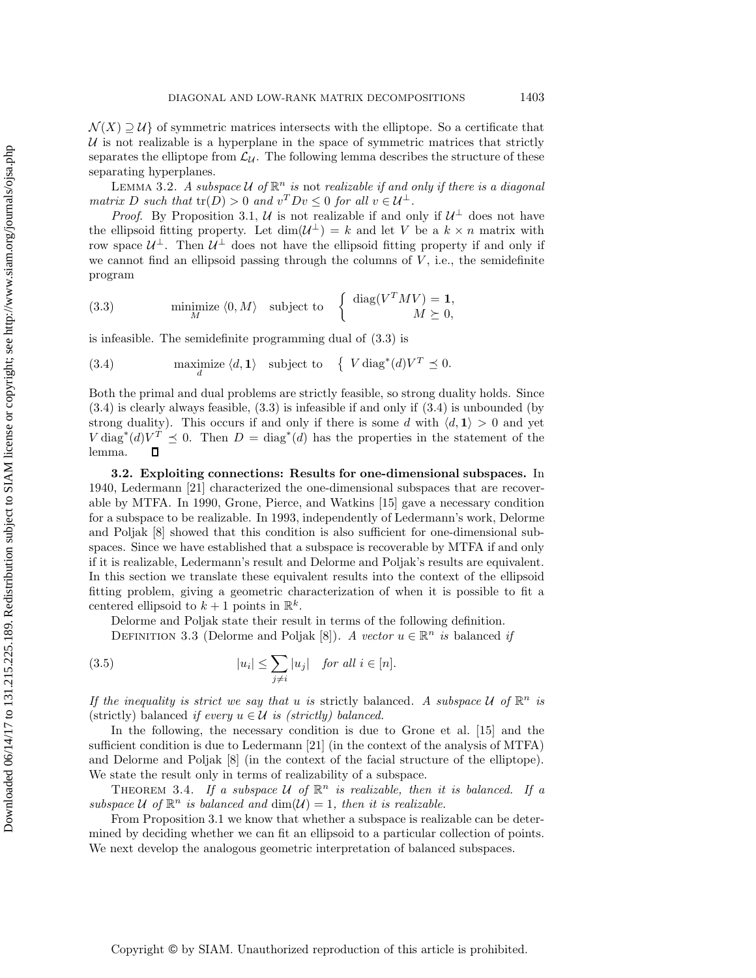$\mathcal{N}(X) \supseteq \mathcal{U}$  of symmetric matrices intersects with the elliptope. So a certificate that  $U$  is not realizable is a hyperplane in the space of symmetric matrices that strictly separates the elliptope from  $\mathcal{L}_{\mathcal{U}}$ . The following lemma describes the structure of these separating hyperplanes.

LEMMA 3.2. A subspace U of  $\mathbb{R}^n$  is not realizable if and only if there is a diagonal *matrix* D such that  $tr(D) > 0$  and  $v^T D v \leq 0$  for all  $v \in \mathcal{U}^{\perp}$ .

*Proof.* By Proposition 3.1, U is not realizable if and only if  $U^{\perp}$  does not have the ellipsoid fitting property. Let  $\dim(\mathcal{U}^{\perp}) = k$  and let V be a  $k \times n$  matrix with row space  $\mathcal{U}^{\perp}$ . Then  $\mathcal{U}^{\perp}$  does not have the ellipsoid fitting property if and only if we cannot find an ellipsoid passing through the columns of  $V$ , i.e., the semidefinite program

(3.3) minimize 
$$
\langle 0, M \rangle
$$
 subject to  $\begin{cases} \text{diag}(V^T M V) = 1, \\ M \succeq 0, \end{cases}$ 

is infeasible. The semidefinite programming dual of (3.3) is

(3.4) maximize 
$$
\langle d, \mathbf{1} \rangle
$$
 subject to  $\{ V \text{ diag}^*(d) V^T \preceq 0.$ 

Both the primal and dual problems are strictly feasible, so strong duality holds. Since (3.4) is clearly always feasible, (3.3) is infeasible if and only if (3.4) is unbounded (by strong duality). This occurs if and only if there is some d with  $\langle d, 1 \rangle > 0$  and yet  $V \operatorname{diag}^*(d)V^T \leq 0$ . Then  $D = \operatorname{diag}^*(d)$  has the properties in the statement of the  $\Box$ lemma.

**3.2. Exploiting connections: Results for one-dimensional subspaces.** In 1940, Ledermann [21] characterized the one-dimensional subspaces that are recoverable by MTFA. In 1990, Grone, Pierce, and Watkins [15] gave a necessary condition for a subspace to be realizable. In 1993, independently of Ledermann's work, Delorme and Poljak [8] showed that this condition is also sufficient for one-dimensional subspaces. Since we have established that a subspace is recoverable by MTFA if and only if it is realizable, Ledermann's result and Delorme and Poljak's results are equivalent. In this section we translate these equivalent results into the context of the ellipsoid fitting problem, giving a geometric characterization of when it is possible to fit a centered ellipsoid to  $k + 1$  points in  $\mathbb{R}^k$ .

Delorme and Poljak state their result in terms of the following definition.

DEFINITION 3.3 (Delorme and Poljak [8]). *A vector*  $u \in \mathbb{R}^n$  *is* balanced *if* 

(3.5) 
$$
|u_i| \leq \sum_{j \neq i} |u_j| \quad \text{for all } i \in [n].
$$

*If the inequality is strict we say that* u *is* strictly balanced. A subspace U of  $\mathbb{R}^n$  *is* (strictly) balanced *if every*  $u \in \mathcal{U}$  *is (strictly) balanced.* 

In the following, the necessary condition is due to Grone et al. [15] and the sufficient condition is due to Ledermann [21] (in the context of the analysis of MTFA) and Delorme and Poljak [8] (in the context of the facial structure of the elliptope). We state the result only in terms of realizability of a subspace.

THEOREM 3.4. If a subspace U of  $\mathbb{R}^n$  is realizable, then it is balanced. If a *subspace*  $U$  *of*  $\mathbb{R}^n$  *is balanced and*  $\dim(U) = 1$ *, then it is realizable.* 

From Proposition 3.1 we know that whether a subspace is realizable can be determined by deciding whether we can fit an ellipsoid to a particular collection of points. We next develop the analogous geometric interpretation of balanced subspaces.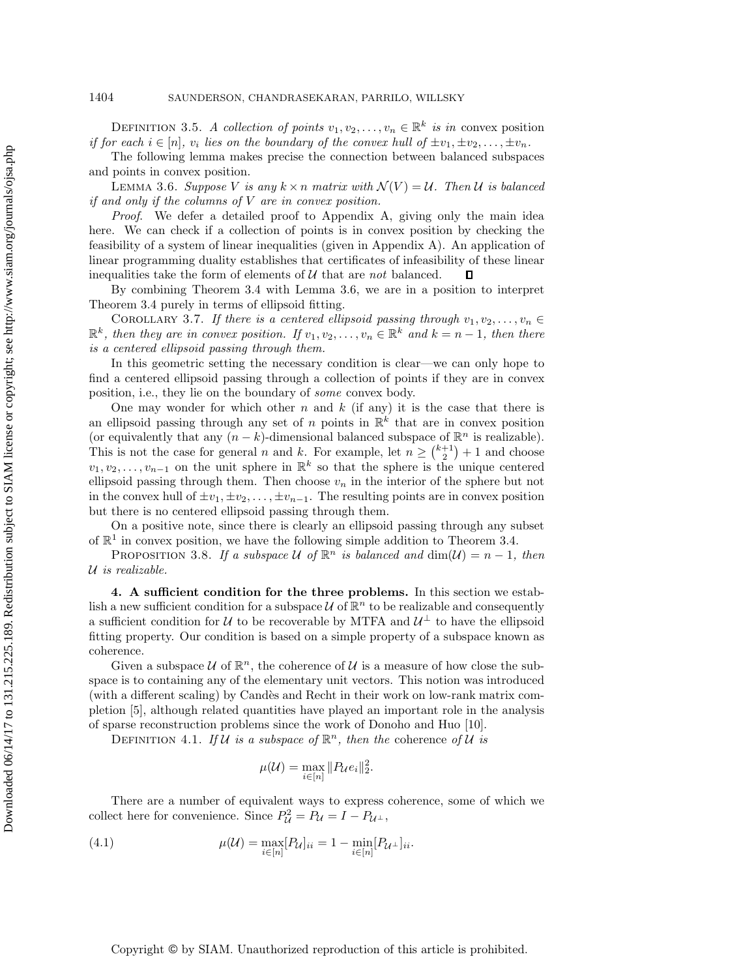DEFINITION 3.5. *A collection of points*  $v_1, v_2, \ldots, v_n \in \mathbb{R}^k$  *is in* convex position *if for each*  $i \in [n]$ *, v<sub>i</sub> lies on the boundary of the convex hull of*  $\pm v_1, \pm v_2, \ldots, \pm v_n$ *.* 

The following lemma makes precise the connection between balanced subspaces and points in convex position.

LEMMA 3.6. *Suppose* V *is any*  $k \times n$  *matrix with*  $\mathcal{N}(V) = \mathcal{U}$ . Then U is balanced *if and only if the columns of* V *are in convex position.*

*Proof*. We defer a detailed proof to Appendix A, giving only the main idea here. We can check if a collection of points is in convex position by checking the feasibility of a system of linear inequalities (given in Appendix A). An application of linear programming duality establishes that certificates of infeasibility of these linear inequalities take the form of elements of U that are *not* balanced. Л

By combining Theorem 3.4 with Lemma 3.6, we are in a position to interpret Theorem 3.4 purely in terms of ellipsoid fitting.

COROLLARY 3.7. If there is a centered ellipsoid passing through  $v_1, v_2, \ldots, v_n \in$  $\mathbb{R}^k$ , then they are in convex position. If  $v_1, v_2, \ldots, v_n \in \mathbb{R}^k$  and  $k = n - 1$ , then there *is a centered ellipsoid passing through them.*

In this geometric setting the necessary condition is clear—we can only hope to find a centered ellipsoid passing through a collection of points if they are in convex position, i.e., they lie on the boundary of *some* convex body.

One may wonder for which other n and k (if any) it is the case that there is an ellipsoid passing through any set of n points in  $\mathbb{R}^k$  that are in convex position (or equivalently that any  $(n - k)$ -dimensional balanced subspace of  $\mathbb{R}^n$  is realizable). This is not the case for general *n* and *k*. For example, let  $n \geq {k+1 \choose 2} + 1$  and choose  $v_1, v_2, \ldots, v_{n-1}$  on the unit sphere in  $\mathbb{R}^k$  so that the sphere is the unique centered ellipsoid passing through them. Then choose  $v_n$  in the interior of the sphere but not in the convex hull of  $\pm v_1, \pm v_2, \ldots, \pm v_{n-1}$ . The resulting points are in convex position but there is no centered ellipsoid passing through them.

On a positive note, since there is clearly an ellipsoid passing through any subset of  $\mathbb{R}^1$  in convex position, we have the following simple addition to Theorem 3.4.

PROPOSITION 3.8. If a subspace  $U$  of  $\mathbb{R}^n$  is balanced and  $\dim(U) = n - 1$ , then U *is realizable.*

**4. A sufficient condition for the three problems.** In this section we establish a new sufficient condition for a subspace  $\mathcal U$  of  $\mathbb R^n$  to be realizable and consequently a sufficient condition for U to be recoverable by MTFA and  $\mathcal{U}^{\perp}$  to have the ellipsoid fitting property. Our condition is based on a simple property of a subspace known as coherence.

Given a subspace  $\mathcal U$  of  $\mathbb R^n$ , the coherence of  $\mathcal U$  is a measure of how close the subspace is to containing any of the elementary unit vectors. This notion was introduced (with a different scaling) by Candès and Recht in their work on low-rank matrix completion [5], although related quantities have played an important role in the analysis of sparse reconstruction problems since the work of Donoho and Huo [10].

DEFINITION 4.1. If U is a subspace of  $\mathbb{R}^n$ , then the coherence of U is

$$
\mu(\mathcal{U}) = \max_{i \in [n]} \|P_{\mathcal{U}}e_i\|_2^2.
$$

There are a number of equivalent ways to express coherence, some of which we collect here for convenience. Since  $P_{\mathcal{U}}^2 = P_{\mathcal{U}} = I - P_{\mathcal{U}^{\perp}}$ ,

(4.1) 
$$
\mu(\mathcal{U}) = \max_{i \in [n]} [P_{\mathcal{U}}]_{ii} = 1 - \min_{i \in [n]} [P_{\mathcal{U}^{\perp}}]_{ii}.
$$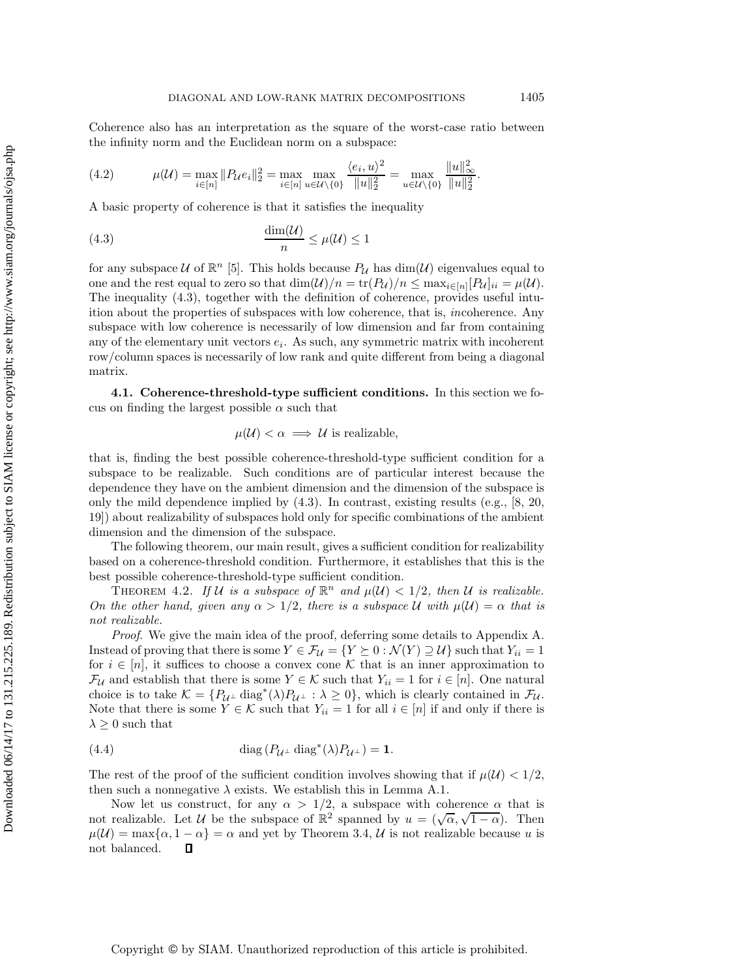Coherence also has an interpretation as the square of the worst-case ratio between the infinity norm and the Euclidean norm on a subspace:

(4.2) 
$$
\mu(\mathcal{U}) = \max_{i \in [n]} \|P_{\mathcal{U}}e_i\|_2^2 = \max_{i \in [n]} \max_{u \in \mathcal{U} \setminus \{0\}} \frac{\langle e_i, u \rangle^2}{\|u\|_2^2} = \max_{u \in \mathcal{U} \setminus \{0\}} \frac{\|u\|_{\infty}^2}{\|u\|_2^2}.
$$

A basic property of coherence is that it satisfies the inequality

(4.3) 
$$
\frac{\dim(\mathcal{U})}{n} \leq \mu(\mathcal{U}) \leq 1
$$

for any subspace U of  $\mathbb{R}^n$  [5]. This holds because  $P_{\mathcal{U}}$  has  $\dim(\mathcal{U})$  eigenvalues equal to one and the rest equal to zero so that  $\dim(\mathcal{U})/n = \text{tr}(P_{\mathcal{U}})/n \leq \max_{i \in [n]}[P_{\mathcal{U}}]_{ii} = \mu(\mathcal{U}).$ The inequality (4.3), together with the definition of coherence, provides useful intuition about the properties of subspaces with low coherence, that is, *in*coherence. Any subspace with low coherence is necessarily of low dimension and far from containing any of the elementary unit vectors  $e_i$ . As such, any symmetric matrix with incoherent row/column spaces is necessarily of low rank and quite different from being a diagonal matrix.

**4.1. Coherence-threshold-type sufficient conditions.** In this section we focus on finding the largest possible  $\alpha$  such that

$$
\mu(\mathcal{U}) < \alpha \implies \mathcal{U} \text{ is realizable},
$$

that is, finding the best possible coherence-threshold-type sufficient condition for a subspace to be realizable. Such conditions are of particular interest because the dependence they have on the ambient dimension and the dimension of the subspace is only the mild dependence implied by  $(4.3)$ . In contrast, existing results (e.g., [8, 20, 19]) about realizability of subspaces hold only for specific combinations of the ambient dimension and the dimension of the subspace.

The following theorem, our main result, gives a sufficient condition for realizability based on a coherence-threshold condition. Furthermore, it establishes that this is the best possible coherence-threshold-type sufficient condition.

THEOREM 4.2. If U is a subspace of  $\mathbb{R}^n$  and  $\mu(\mathcal{U}) < 1/2$ , then U is realizable. *On the other hand, given any*  $\alpha > 1/2$ *, there is a subspace* U with  $\mu(\mathcal{U}) = \alpha$  *that is not realizable.*

*Proof*. We give the main idea of the proof, deferring some details to Appendix A. Instead of proving that there is some  $Y \in \mathcal{F}_{\mathcal{U}} = \{Y \succeq 0 : \mathcal{N}(Y) \supseteq \mathcal{U}\}\$  such that  $Y_{ii} = 1$ for  $i \in [n]$ , it suffices to choose a convex cone K that is an inner approximation to  $\mathcal{F}_{\mathcal{U}}$  and establish that there is some  $Y \in \mathcal{K}$  such that  $Y_{ii} = 1$  for  $i \in [n]$ . One natural choice is to take  $\mathcal{K} = \{P_{\mathcal{U}^{\perp}} \text{diag}^*(\lambda)P_{\mathcal{U}^{\perp}} : \lambda \geq 0\}$ , which is clearly contained in  $\mathcal{F}_{\mathcal{U}}$ . Note that there is some  $Y \in \mathcal{K}$  such that  $Y_{ii} = 1$  for all  $i \in [n]$  if and only if there is  $\lambda \geq 0$  such that

(4.4) 
$$
\operatorname{diag}(P_{\mathcal{U}^{\perp}} \operatorname{diag}^*(\lambda) P_{\mathcal{U}^{\perp}}) = 1.
$$

The rest of the proof of the sufficient condition involves showing that if  $\mu(\mathcal{U}) < 1/2$ , then such a nonnegative  $\lambda$  exists. We establish this in Lemma A.1.

Now let us construct, for any  $\alpha > 1/2$ , a subspace with coherence  $\alpha$  that is not realizable. Let U be the subspace of  $\mathbb{R}^2$  spanned by  $u = (\sqrt{\alpha}, \sqrt{1-\alpha})$ . Then  $\mu(\mathcal{U}) = \max\{\alpha, 1 - \alpha\} = \alpha$  and yet by Theorem 3.4, U is not realizable because u is not balanced. O

Copyright © by SIAM. Unauthorized reproduction of this article is prohibited.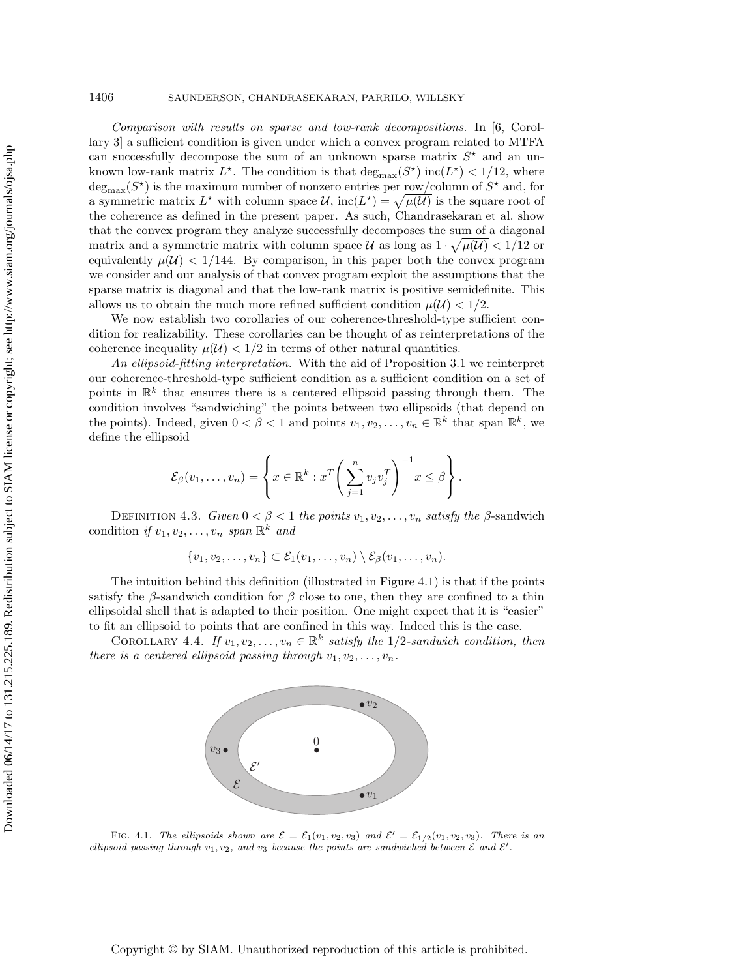*Comparison with results on sparse and low-rank decompositions.* In [6, Corollary 3] a sufficient condition is given under which a convex program related to MTFA can successfully decompose the sum of an unknown sparse matrix  $S^*$  and an unknown low-rank matrix  $L^*$ . The condition is that  $\deg_{\max}(S^*)$  inc $(L^*)$  < 1/12, where  $deg_{\text{max}}(S^{\star})$  is the maximum number of nonzero entries per row/column of  $S^{\star}$  and, for a symmetric matrix  $L^*$  with column space  $\mathcal{U}$ , inc $(L^*) = \sqrt{\mu(\mathcal{U})}$  is the square root of the coherence as defined in the present paper. As such, Chandrasekaran et al. show that the convex program they analyze successfully decomposes the sum of a diagonal matrix and a symmetric matrix with column space U as long as  $1 \cdot \sqrt{\mu(\mathcal{U})} < 1/12$  or equivalently  $\mu(\mathcal{U}) < 1/144$ . By comparison, in this paper both the convex program we consider and our analysis of that convex program exploit the assumptions that the sparse matrix is diagonal and that the low-rank matrix is positive semidefinite. This allows us to obtain the much more refined sufficient condition  $\mu(\mathcal{U}) < 1/2$ .

We now establish two corollaries of our coherence-threshold-type sufficient condition for realizability. These corollaries can be thought of as reinterpretations of the coherence inequality  $\mu(\mathcal{U}) < 1/2$  in terms of other natural quantities.

*An ellipsoid-fitting interpretation.* With the aid of Proposition 3.1 we reinterpret our coherence-threshold-type sufficient condition as a sufficient condition on a set of points in  $\mathbb{R}^k$  that ensures there is a centered ellipsoid passing through them. The condition involves "sandwiching" the points between two ellipsoids (that depend on the points). Indeed, given  $0 < \beta < 1$  and points  $v_1, v_2, \ldots, v_n \in \mathbb{R}^k$  that span  $\mathbb{R}^k$ , we define the ellipsoid

$$
\mathcal{E}_{\beta}(v_1,\ldots,v_n) = \left\{ x \in \mathbb{R}^k : x^T \left( \sum_{j=1}^n v_j v_j^T \right)^{-1} x \leq \beta \right\}.
$$

DEFINITION 4.3. *Given*  $0 < \beta < 1$  *the points*  $v_1, v_2, \ldots, v_n$  *satisfy the*  $\beta$ -sandwich condition *if*  $v_1, v_2, \ldots, v_n$  *span*  $\mathbb{R}^k$  *and* 

$$
\{v_1,v_2,\ldots,v_n\}\subset \mathcal{E}_1(v_1,\ldots,v_n)\setminus \mathcal{E}_\beta(v_1,\ldots,v_n).
$$

The intuition behind this definition (illustrated in Figure 4.1) is that if the points satisfy the  $\beta$ -sandwich condition for  $\beta$  close to one, then they are confined to a thin ellipsoidal shell that is adapted to their position. One might expect that it is "easier" to fit an ellipsoid to points that are confined in this way. Indeed this is the case.

COROLLARY 4.4. *If*  $v_1, v_2, \ldots, v_n \in \mathbb{R}^k$  *satisfy the* 1/2-sandwich condition, then *there is a centered ellipsoid passing through*  $v_1, v_2, \ldots, v_n$ .



FIG. 4.1. The ellipsoids shown are  $\mathcal{E} = \mathcal{E}_1(v_1, v_2, v_3)$  and  $\mathcal{E}' = \mathcal{E}_{1/2}(v_1, v_2, v_3)$ . There is an ellipsoid passing through  $v_1, v_2$ , and  $v_3$  because the points are sandwiched between  $\mathcal E$  and  $\mathcal E'$ .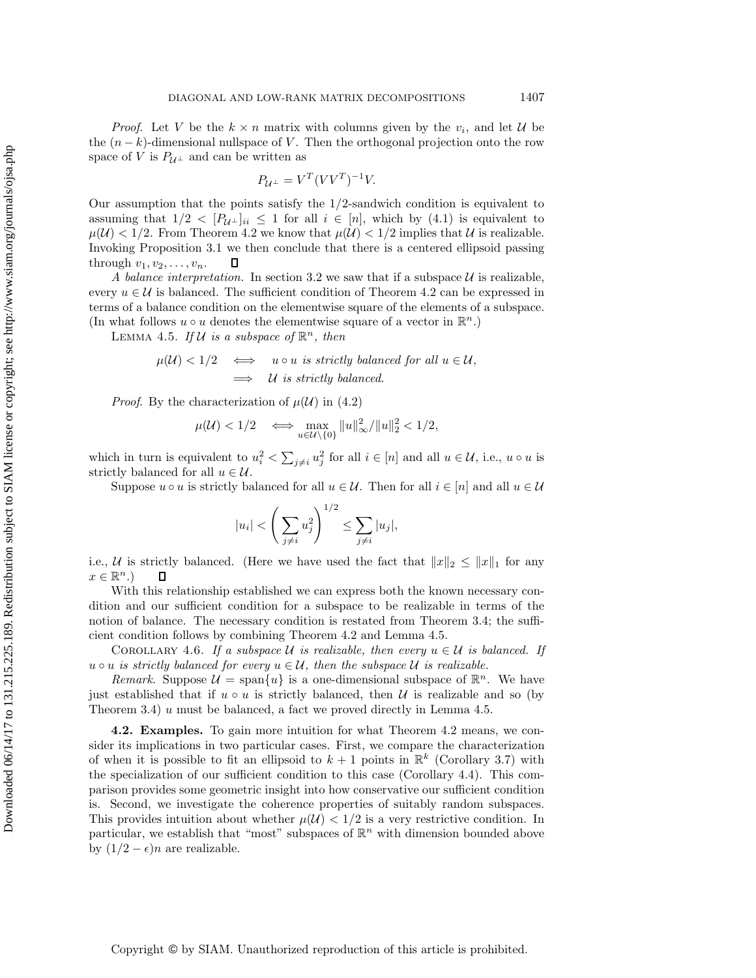*Proof.* Let V be the  $k \times n$  matrix with columns given by the  $v_i$ , and let U be the  $(n - k)$ -dimensional nullspace of V. Then the orthogonal projection onto the row space of V is  $P_{\mathcal{U}^{\perp}}$  and can be written as

$$
P_{\mathcal{U}^{\perp}} = V^T (V V^T)^{-1} V.
$$

Our assumption that the points satisfy the 1/2-sandwich condition is equivalent to assuming that  $1/2 < [P_{\mathcal{U}^{\perp}}]_{ii} \leq 1$  for all  $i \in [n]$ , which by (4.1) is equivalent to  $\mu(\mathcal{U}) < 1/2$ . From Theorem 4.2 we know that  $\mu(\mathcal{U}) < 1/2$  implies that U is realizable. Invoking Proposition 3.1 we then conclude that there is a centered ellipsoid passing through  $v_1, v_2, \ldots, v_n$ . 口

*A balance interpretation.* In section 3.2 we saw that if a subspace  $U$  is realizable, every  $u \in \mathcal{U}$  is balanced. The sufficient condition of Theorem 4.2 can be expressed in terms of a balance condition on the elementwise square of the elements of a subspace. (In what follows  $u \circ u$  denotes the elementwise square of a vector in  $\mathbb{R}^n$ .)

LEMMA 4.5. If  $\mathcal U$  is a subspace of  $\mathbb R^n$ , then

$$
\mu(\mathcal{U}) < 1/2 \quad \Longleftrightarrow \quad u \circ u \text{ is strictly balanced for all } u \in \mathcal{U},
$$
\n
$$
\implies \quad \mathcal{U} \text{ is strictly balanced.}
$$

*Proof.* By the characterization of  $\mu(\mathcal{U})$  in (4.2)

$$
\mu(\mathcal{U}) < 1/2 \quad \Longleftrightarrow \max_{u \in \mathcal{U} \setminus \{0\}} \|u\|_{\infty}^2 / \|u\|_2^2 < 1/2,
$$

which in turn is equivalent to  $u_i^2 < \sum_{j \neq i} u_j^2$  for all  $i \in [n]$  and all  $u \in \mathcal{U}$ , i.e.,  $u \circ u$  is strictly balanced for all  $u \in \mathcal{U}$ .

Suppose  $u \circ u$  is strictly balanced for all  $u \in \mathcal{U}$ . Then for all  $i \in [n]$  and all  $u \in \mathcal{U}$ 

$$
|u_i| < \left(\sum_{j\neq i} u_j^2\right)^{1/2} \le \sum_{j\neq i} |u_j|,
$$

i.e., U is strictly balanced. (Here we have used the fact that  $||x||_2 \leq ||x||_1$  for any  $x \in \mathbb{R}^n$ .)  $\Box$ 

With this relationship established we can express both the known necessary condition and our sufficient condition for a subspace to be realizable in terms of the notion of balance. The necessary condition is restated from Theorem 3.4; the sufficient condition follows by combining Theorem 4.2 and Lemma 4.5.

COROLLARY 4.6. If a subspace U is realizable, then every  $u \in U$  is balanced. If  $u \circ u$  *is strictly balanced for every*  $u \in \mathcal{U}$ *, then the subspace*  $\mathcal{U}$  *is realizable.* 

*Remark.* Suppose  $\mathcal{U} = \text{span}\{u\}$  is a one-dimensional subspace of  $\mathbb{R}^n$ . We have just established that if  $u \circ u$  is strictly balanced, then  $U$  is realizable and so (by Theorem 3.4) u must be balanced, a fact we proved directly in Lemma 4.5.

**4.2. Examples.** To gain more intuition for what Theorem 4.2 means, we consider its implications in two particular cases. First, we compare the characterization of when it is possible to fit an ellipsoid to  $k + 1$  points in  $\mathbb{R}^k$  (Corollary 3.7) with the specialization of our sufficient condition to this case (Corollary 4.4). This comparison provides some geometric insight into how conservative our sufficient condition is. Second, we investigate the coherence properties of suitably random subspaces. This provides intuition about whether  $\mu(\mathcal{U}) < 1/2$  is a very restrictive condition. In particular, we establish that "most" subspaces of  $\mathbb{R}^n$  with dimension bounded above by  $(1/2 - \epsilon)n$  are realizable.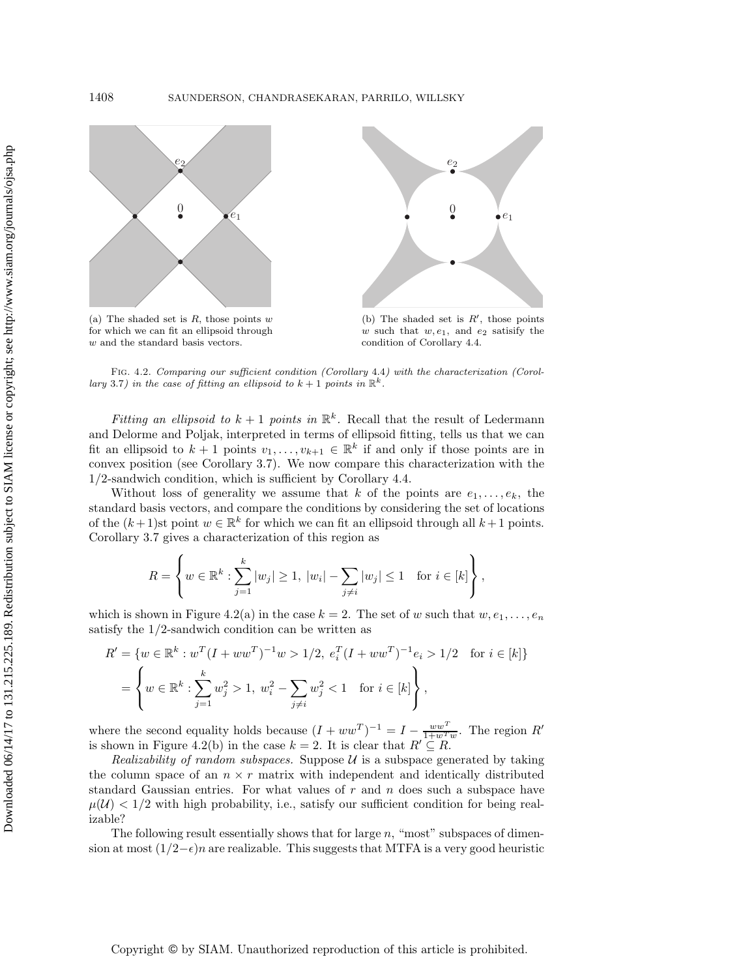

w and the standard basis vectors.





(b) The shaded set is  $R'$ , those points w such that  $w, e_1$ , and  $e_2$  satisify the condition of Corollary 4.4.

Fig. 4.2. Comparing our sufficient condition (Corollary 4.4) with the characterization (Corollary 3.7) in the case of fitting an ellipsoid to  $k + 1$  points in  $\mathbb{R}^k$ .

*Fitting an ellipsoid to*  $k + 1$  *points in*  $\mathbb{R}^k$ . Recall that the result of Ledermann and Delorme and Poljak, interpreted in terms of ellipsoid fitting, tells us that we can fit an ellipsoid to  $k + 1$  points  $v_1, \ldots, v_{k+1} \in \mathbb{R}^k$  if and only if those points are in convex position (see Corollary 3.7). We now compare this characterization with the 1/2-sandwich condition, which is sufficient by Corollary 4.4.

Without loss of generality we assume that k of the points are  $e_1,\ldots,e_k$ , the standard basis vectors, and compare the conditions by considering the set of locations of the  $(k+1)$ st point  $w \in \mathbb{R}^k$  for which we can fit an ellipsoid through all  $k+1$  points. Corollary 3.7 gives a characterization of this region as

$$
R = \left\{ w \in \mathbb{R}^k : \sum_{j=1}^k |w_j| \ge 1, \ |w_i| - \sum_{j \ne i} |w_j| \le 1 \text{ for } i \in [k] \right\},\
$$

which is shown in Figure 4.2(a) in the case  $k = 2$ . The set of w such that  $w, e_1, \ldots, e_n$ satisfy the  $1/2$ -sandwich condition can be written as

$$
R' = \{ w \in \mathbb{R}^k : w^T (I + ww^T)^{-1} w > 1/2, e_i^T (I + ww^T)^{-1} e_i > 1/2 \text{ for } i \in [k] \}
$$
  
= 
$$
\left\{ w \in \mathbb{R}^k : \sum_{j=1}^k w_j^2 > 1, w_i^2 - \sum_{j \neq i} w_j^2 < 1 \text{ for } i \in [k] \right\},\
$$

where the second equality holds because  $(I + ww<sup>T</sup>)<sup>-1</sup> = I - \frac{ww<sup>T</sup>}{1 + w<sup>T</sup>w}$ . The region R' is shown in Figure 4.2(b) in the case  $k = 2$ . It is clear that  $R' \subseteq R$ .

*Realizability of random subspaces.* Suppose  $U$  is a subspace generated by taking the column space of an  $n \times r$  matrix with independent and identically distributed standard Gaussian entries. For what values of  $r$  and  $n$  does such a subspace have  $\mu(\mathcal{U}) < 1/2$  with high probability, i.e., satisfy our sufficient condition for being realizable?

The following result essentially shows that for large  $n$ , "most" subspaces of dimension at most  $(1/2-\epsilon)n$  are realizable. This suggests that MTFA is a very good heuristic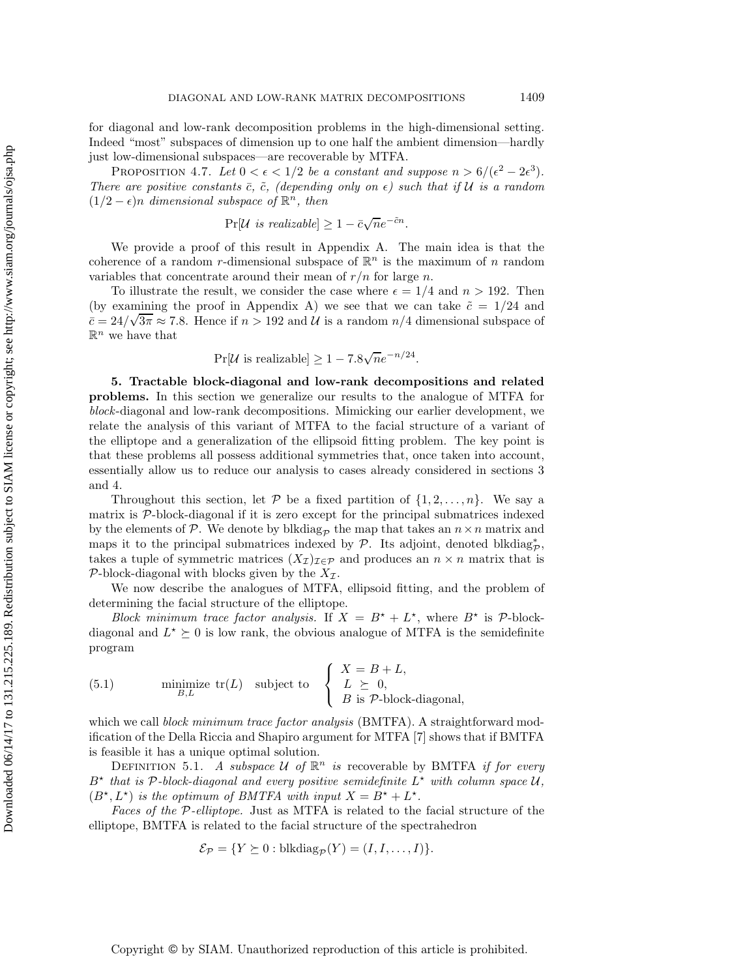for diagonal and low-rank decomposition problems in the high-dimensional setting. Indeed "most" subspaces of dimension up to one half the ambient dimension—hardly just low-dimensional subspaces—are recoverable by MTFA.

PROPOSITION 4.7. Let  $0 < \epsilon < 1/2$  be a constant and suppose  $n > 6/(\epsilon^2 - 2\epsilon^3)$ . *There are positive constants*  $\bar{c}$ ,  $\tilde{c}$ , (depending only on  $\epsilon$ ) such that if U is a random  $(1/2 - \epsilon)n$  *dimensional subspace of*  $\mathbb{R}^n$ *, then* 

$$
Pr[\mathcal{U} \text{ is realizable}] \ge 1 - \bar{c}\sqrt{n}e^{-\tilde{c}n}.
$$

We provide a proof of this result in Appendix A. The main idea is that the coherence of a random r-dimensional subspace of  $\mathbb{R}^n$  is the maximum of n random variables that concentrate around their mean of  $r/n$  for large n.

To illustrate the result, we consider the case where  $\epsilon = 1/4$  and  $n > 192$ . Then (by examining the proof in Appendix A) we see that we can take  $\tilde{c} = 1/24$  and  $c = 24/\sqrt{3\pi} \approx 7.8$ . Hence if  $n > 192$  and  $\mathcal{U}$  is a random  $n/4$  dimensional subspace of  $\mathbb{R}^n$  we have that

$$
Pr[\mathcal{U} \text{ is realizable}] \ge 1 - 7.8\sqrt{n}e^{-n/24}.
$$

**5. Tractable block-diagonal and low-rank decompositions and related problems.** In this section we generalize our results to the analogue of MTFA for *block*-diagonal and low-rank decompositions. Mimicking our earlier development, we relate the analysis of this variant of MTFA to the facial structure of a variant of the elliptope and a generalization of the ellipsoid fitting problem. The key point is that these problems all possess additional symmetries that, once taken into account, essentially allow us to reduce our analysis to cases already considered in sections 3 and 4.

Throughout this section, let  $P$  be a fixed partition of  $\{1, 2, \ldots, n\}$ . We say a matrix is  $P$ -block-diagonal if it is zero except for the principal submatrices indexed by the elements of P. We denote by blkdiag<sub>p</sub> the map that takes an  $n \times n$  matrix and maps it to the principal submatrices indexed by  $\mathcal{P}$ . Its adjoint, denoted blkdiag<sub>p</sub><sup>\*</sup>, takes a tuple of symmetric matrices  $(X_{\mathcal{I}})_{\mathcal{I}\in\mathcal{P}}$  and produces an  $n\times n$  matrix that is P-block-diagonal with blocks given by the  $X_{\mathcal{I}}$ .

We now describe the analogues of MTFA, ellipsoid fitting, and the problem of determining the facial structure of the elliptope.

*Block minimum trace factor analysis.* If  $X = B^* + L^*$ , where  $B^*$  is  $\mathcal{P}\text{-block-}$ diagonal and  $L^* \succeq 0$  is low rank, the obvious analogue of MTFA is the semidefinite program

(5.1) 
$$
\text{minimize } \text{tr}(L) \quad \text{subject to} \quad \left\{ \begin{array}{l} X = B + L, \\ L \geq 0, \\ B \text{ is } \mathcal{P}\text{-block-diagonal,} \end{array} \right.
$$

which we call *block minimum trace factor analysis* (BMTFA). A straightforward modification of the Della Riccia and Shapiro argument for MTFA [7] shows that if BMTFA is feasible it has a unique optimal solution.

DEFINITION 5.1. *A subspace*  $U$  *of*  $\mathbb{R}^n$  *is* recoverable by BMTFA *if for every*  $B^*$  that is P-block-diagonal and every positive semidefinite  $L^*$  with column space  $\mathcal{U}$ ,  $(B^{\star}, L^{\star})$  *is the optimum of BMTFA with input*  $X = B^{\star} + L^{\star}$ .

*Faces of the* P*-elliptope.* Just as MTFA is related to the facial structure of the elliptope, BMTFA is related to the facial structure of the spectrahedron

$$
\mathcal{E}_{\mathcal{P}} = \{ Y \succeq 0 : \text{blkdiag}_{\mathcal{P}}(Y) = (I, I, \dots, I) \}.
$$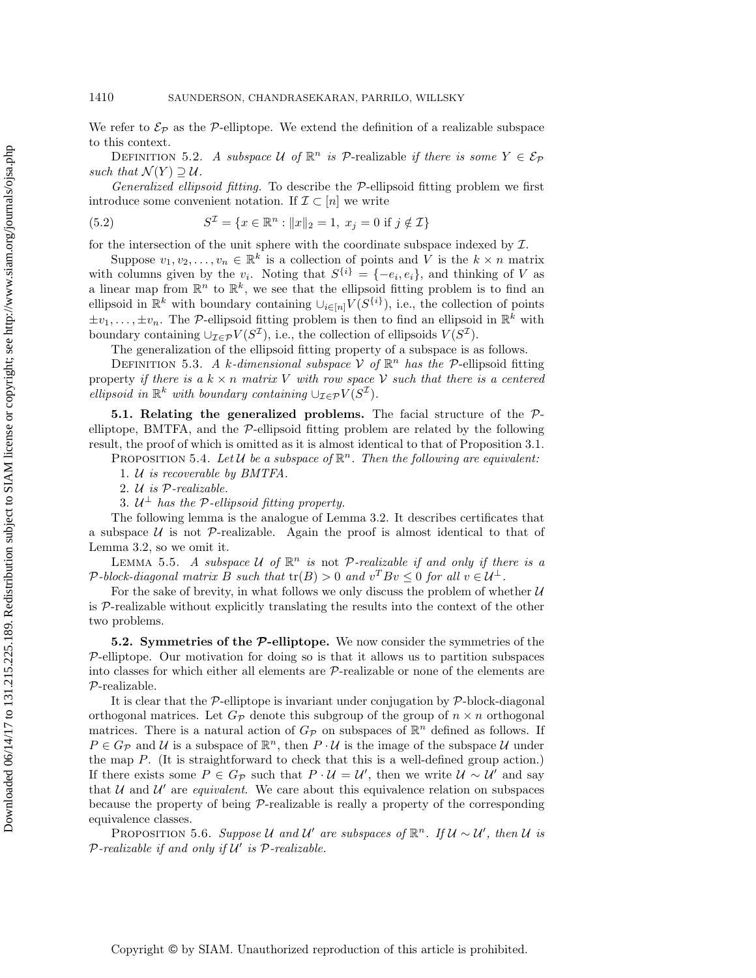We refer to  $\mathcal{E}_{\mathcal{P}}$  as the P-elliptope. We extend the definition of a realizable subspace to this context.

DEFINITION 5.2. *A subspace*  $U$  *of*  $\mathbb{R}^n$  *is*  $P$ -realizable *if there is some*  $Y \in \mathcal{E}_P$ *such that*  $\mathcal{N}(Y) \supseteq \mathcal{U}$ .

*Generalized ellipsoid fitting.* To describe the P-ellipsoid fitting problem we first introduce some convenient notation. If  $\mathcal{I} \subset [n]$  we write

(5.2) 
$$
S^{\mathcal{I}} = \{x \in \mathbb{R}^n : ||x||_2 = 1, x_j = 0 \text{ if } j \notin \mathcal{I}\}
$$

for the intersection of the unit sphere with the coordinate subspace indexed by  $\mathcal{I}$ .

Suppose  $v_1, v_2, \ldots, v_n \in \mathbb{R}^k$  is a collection of points and V is the  $k \times n$  matrix with columns given by the  $v_i$ . Noting that  $S^{\{i\}} = \{-e_i, e_i\}$ , and thinking of V as a linear map from  $\mathbb{R}^n$  to  $\mathbb{R}^k$ , we see that the ellipsoid fitting problem is to find an ellipsoid in  $\mathbb{R}^k$  with boundary containing  $\cup_{i\in[n]} V(S^{\{i\}})$ , i.e., the collection of points  $\pm v_1,\ldots,\pm v_n$ . The P-ellipsoid fitting problem is then to find an ellipsoid in  $\mathbb{R}^k$  with boundary containing  $\cup_{\mathcal{I}\in\mathcal{P}} V(S^{\mathcal{I}})$ , i.e., the collection of ellipsoids  $V(S^{\mathcal{I}})$ .

The generalization of the ellipsoid fitting property of a subspace is as follows.

DEFINITION 5.3. A k-dimensional subspace V of  $\mathbb{R}^n$  has the P-ellipsoid fitting property *if there is a*  $k \times n$  *matrix* V *with row space* V *such that there is a centered ellipsoid in*  $\mathbb{R}^k$  *with boundary containing*  $\cup_{\mathcal{I}\in\mathcal{P}} V(S^{\mathcal{I}})$ *.* 

**5.1. Relating the generalized problems.** The facial structure of the Pelliptope, BMTFA, and the  $P$ -ellipsoid fitting problem are related by the following result, the proof of which is omitted as it is almost identical to that of Proposition 3.1.

PROPOSITION 5.4. Let  $U$  be a subspace of  $\mathbb{R}^n$ . Then the following are equivalent:

1. U *is recoverable by BMTFA.*

2. U *is* P*-realizable.*

3.  $U^{\perp}$  *has the P-ellipsoid fitting property.* 

The following lemma is the analogue of Lemma 3.2. It describes certificates that a subspace  $U$  is not P-realizable. Again the proof is almost identical to that of Lemma 3.2, so we omit it.

LEMMA 5.5. *A subspace* U of  $\mathbb{R}^n$  *is* not P-realizable if and only if there is a P-block-diagonal matrix B such that  $tr(B) > 0$  and  $v^T B v \le 0$  for all  $v \in \mathcal{U}^{\perp}$ .

For the sake of brevity, in what follows we only discuss the problem of whether  $U$ is  $P$ -realizable without explicitly translating the results into the context of the other two problems.

**5.2. Symmetries of the** *P***-elliptope.** We now consider the symmetries of the  $P$ -elliptope. Our motivation for doing so is that it allows us to partition subspaces into classes for which either all elements are P-realizable or none of the elements are P-realizable.

It is clear that the  $\mathcal{P}-$ elliptope is invariant under conjugation by  $\mathcal{P}-$ block-diagonal orthogonal matrices. Let  $G_p$  denote this subgroup of the group of  $n \times n$  orthogonal matrices. There is a natural action of  $G_{\mathcal{P}}$  on subspaces of  $\mathbb{R}^n$  defined as follows. If  $P \in G_{\mathcal{P}}$  and U is a subspace of  $\mathbb{R}^n$ , then  $P \cdot U$  is the image of the subspace U under the map  $P$ . (It is straightforward to check that this is a well-defined group action.) If there exists some  $P \in G_P$  such that  $P \cdot U = U'$ , then we write  $U \sim U'$  and say that  $U$  and  $U'$  are *equivalent*. We care about this equivalence relation on subspaces because the property of being P-realizable is really a property of the corresponding equivalence classes.

PROPOSITION 5.6. *Suppose* U and U' are subspaces of  $\mathbb{R}^n$ . If  $\mathcal{U} \sim \mathcal{U}'$ , then U is  $P$ *-realizable if and only if*  $U'$  *is*  $P$ *-realizable.*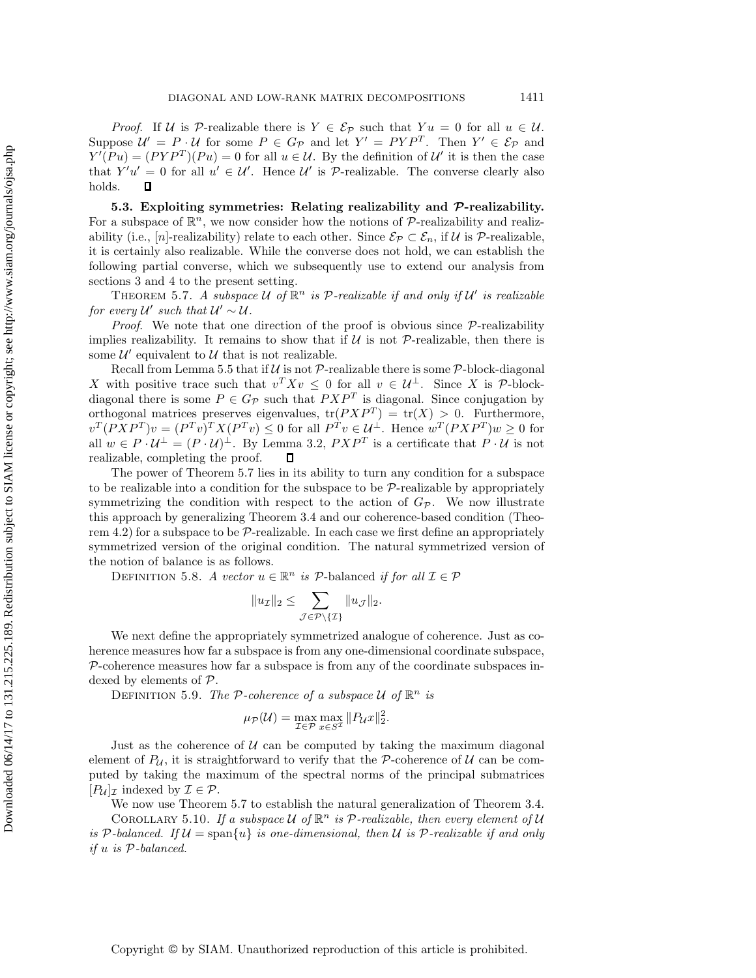*Proof.* If U is P-realizable there is  $Y \in \mathcal{E}_P$  such that  $Yu = 0$  for all  $u \in \mathcal{U}$ . Suppose  $U' = P \cdot U$  for some  $P \in G_P$  and let  $Y' = PYP^T$ . Then  $Y' \in \mathcal{E}_P$  and  $Y(Pu)=(PYP^{T})(Pu)=0$  for all  $u \in \mathcal{U}$ . By the definition of  $\mathcal{U}'$  it is then the case that  $Y'u' = 0$  for all  $u' \in \mathcal{U}'$ . Hence  $\mathcal{U}'$  is P-realizable. The converse clearly also holds.  $\Box$ 

**5.3. Exploiting symmetries: Relating realizability and** *P***-realizability.** For a subspace of  $\mathbb{R}^n$ , we now consider how the notions of  $P$ -realizability and realizability (i.e., [n]-realizability) relate to each other. Since  $\mathcal{E}_{\mathcal{P}} \subset \mathcal{E}_n$ , if U is P-realizable, it is certainly also realizable. While the converse does not hold, we can establish the following partial converse, which we subsequently use to extend our analysis from sections 3 and 4 to the present setting.

THEOREM 5.7. A subspace U of  $\mathbb{R}^n$  is P-realizable if and only if U' is realizable *for every*  $U'$  *such that*  $U' \sim U$ .

*Proof.* We note that one direction of the proof is obvious since  $P$ -realizability implies realizability. It remains to show that if  $U$  is not  $P$ -realizable, then there is some  $\mathcal{U}'$  equivalent to  $\mathcal{U}$  that is not realizable.

Recall from Lemma 5.5 that if  $\mathcal U$  is not  $\mathcal P$ -realizable there is some  $\mathcal P$ -block-diagonal X with positive trace such that  $v^T X v \leq 0$  for all  $v \in \mathcal{U}^{\perp}$ . Since X is P-blockdiagonal there is some  $P \in G_{\mathcal{P}}$  such that  $PXP^{T}$  is diagonal. Since conjugation by orthogonal matrices preserves eigenvalues,  $tr(PXP^{T}) = tr(X) > 0$ . Furthermore,  $v^T (P X P^T) v = (P^T v)^T X (P^T v) \leq 0$  for all  $P^T v \in \mathcal{U}^{\perp}$ . Hence  $w^T (P X P^T) w \geq 0$  for all  $w \in P \cdot U^{\perp} = (P \cdot U)^{\perp}$ . By Lemma 3.2,  $P X P^{T}$  is a certificate that  $P \cdot U$  is not realizable, completing the proof.  $\Box$ 

The power of Theorem 5.7 lies in its ability to turn any condition for a subspace to be realizable into a condition for the subspace to be  $P$ -realizable by appropriately symmetrizing the condition with respect to the action of  $G_{\mathcal{P}}$ . We now illustrate this approach by generalizing Theorem 3.4 and our coherence-based condition (Theorem 4.2) for a subspace to be  $P$ -realizable. In each case we first define an appropriately symmetrized version of the original condition. The natural symmetrized version of the notion of balance is as follows.

DEFINITION 5.8. *A vector*  $u \in \mathbb{R}^n$  *is*  $P$ -balanced *if for all*  $\mathcal{I} \in \mathcal{P}$ 

$$
||u_{\mathcal{I}}||_2 \leq \sum_{\mathcal{J}\in\mathcal{P}\backslash\{\mathcal{I}\}} ||u_{\mathcal{J}}||_2.
$$

We next define the appropriately symmetrized analogue of coherence. Just as coherence measures how far a subspace is from any one-dimensional coordinate subspace,  $P$ -coherence measures how far a subspace is from any of the coordinate subspaces indexed by elements of P.

DEFINITION 5.9. *The* P-coherence of a subspace  $U$  of  $\mathbb{R}^n$  is

$$
\mu_{\mathcal{P}}(\mathcal{U}) = \max_{\mathcal{I} \in \mathcal{P}} \max_{x \in S^{\mathcal{I}}} \|P_{\mathcal{U}}x\|_2^2.
$$

Just as the coherence of  $U$  can be computed by taking the maximum diagonal element of  $P_U$ , it is straightforward to verify that the P-coherence of U can be computed by taking the maximum of the spectral norms of the principal submatrices  $[P_{\mathcal{U}}]_{\mathcal{I}}$  indexed by  $\mathcal{I} \in \mathcal{P}$ .

We now use Theorem 5.7 to establish the natural generalization of Theorem 3.4.

COROLLARY 5.10. If a subspace U of  $\mathbb{R}^n$  is P-realizable, then every element of U *is* P-balanced. If  $U = \text{span}\{u\}$  *is one-dimensional, then*  $U$  *is* P-realizable if and only *if* u *is* P*-balanced.*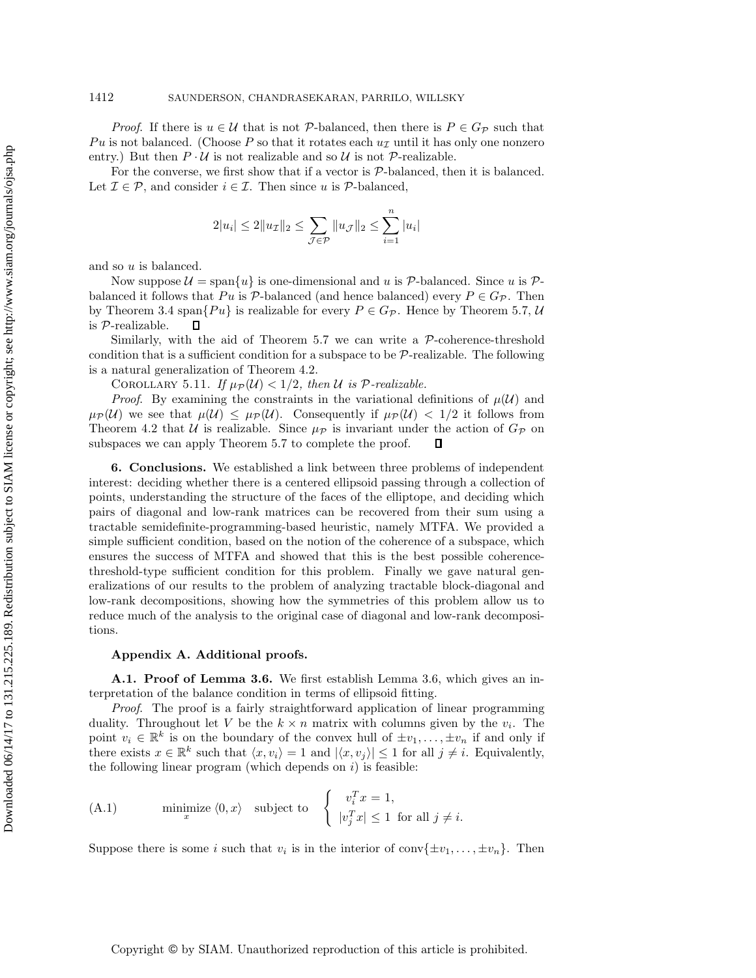*Proof.* If there is  $u \in \mathcal{U}$  that is not P-balanced, then there is  $P \in G_{\mathcal{P}}$  such that Pu is not balanced. (Choose P so that it rotates each  $u<sub>\mathcal{I}</sub>$  until it has only one nonzero entry.) But then  $P \cdot U$  is not realizable and so U is not  $P$ -realizable.

For the converse, we first show that if a vector is  $P$ -balanced, then it is balanced. Let  $\mathcal{I} \in \mathcal{P}$ , and consider  $i \in \mathcal{I}$ . Then since u is  $\mathcal{P}\text{-balanced}$ ,

$$
2|u_i| \le 2\|u_{\mathcal{I}}\|_2 \le \sum_{\mathcal{J} \in \mathcal{P}} \|u_{\mathcal{J}}\|_2 \le \sum_{i=1}^n |u_i|
$$

and so u is balanced.

Now suppose  $\mathcal{U} = \text{span}\{u\}$  is one-dimensional and u is  $\mathcal{P}$ -balanced. Since u is  $\mathcal{P}$ balanced it follows that Pu is P-balanced (and hence balanced) every  $P \in G_{\mathcal{P}}$ . Then by Theorem 3.4 span $\{Pu\}$  is realizable for every  $P \in G_{\mathcal{P}}$ . Hence by Theorem 5.7, U is P-realizable.  $\Box$ 

Similarly, with the aid of Theorem  $5.7$  we can write a  $P$ -coherence-threshold condition that is a sufficient condition for a subspace to be  $\mathcal{P}\text{-realizable}$ . The following is a natural generalization of Theorem 4.2.

COROLLARY 5.11. *If*  $\mu_{\mathcal{P}}(\mathcal{U}) < 1/2$ , then U is P-realizable.

*Proof.* By examining the constraints in the variational definitions of  $\mu(\mathcal{U})$  and  $\mu_{\mathcal{P}}(\mathcal{U})$  we see that  $\mu(\mathcal{U}) \leq \mu_{\mathcal{P}}(\mathcal{U})$ . Consequently if  $\mu_{\mathcal{P}}(\mathcal{U}) < 1/2$  it follows from Theorem 4.2 that U is realizable. Since  $\mu_{\mathcal{P}}$  is invariant under the action of  $G_{\mathcal{P}}$  on subspaces we can apply Theorem 5.7 to complete the proof.  $\Box$ 

**6. Conclusions.** We established a link between three problems of independent interest: deciding whether there is a centered ellipsoid passing through a collection of points, understanding the structure of the faces of the elliptope, and deciding which pairs of diagonal and low-rank matrices can be recovered from their sum using a tractable semidefinite-programming-based heuristic, namely MTFA. We provided a simple sufficient condition, based on the notion of the coherence of a subspace, which ensures the success of MTFA and showed that this is the best possible coherencethreshold-type sufficient condition for this problem. Finally we gave natural generalizations of our results to the problem of analyzing tractable block-diagonal and low-rank decompositions, showing how the symmetries of this problem allow us to reduce much of the analysis to the original case of diagonal and low-rank decompositions.

#### **Appendix A. Additional proofs.**

**A.1. Proof of Lemma 3.6.** We first establish Lemma 3.6, which gives an interpretation of the balance condition in terms of ellipsoid fitting.

*Proof*. The proof is a fairly straightforward application of linear programming duality. Throughout let V be the  $k \times n$  matrix with columns given by the  $v_i$ . The point  $v_i \in \mathbb{R}^k$  is on the boundary of the convex hull of  $\pm v_1, \ldots, \pm v_n$  if and only if there exists  $x \in \mathbb{R}^k$  such that  $\langle x, v_i \rangle = 1$  and  $|\langle x, v_j \rangle| \leq 1$  for all  $j \neq i$ . Equivalently, the following linear program (which depends on  $i$ ) is feasible:

(A.1) minimize 
$$
\langle 0, x \rangle
$$
 subject to  $\begin{cases} v_i^T x = 1, \\ |v_j^T x| \le 1 \text{ for all } j \ne i. \end{cases}$ 

Suppose there is some i such that  $v_i$  is in the interior of conv $\{\pm v_1,\ldots,\pm v_n\}$ . Then

Copyright © by SIAM. Unauthorized reproduction of this article is prohibited.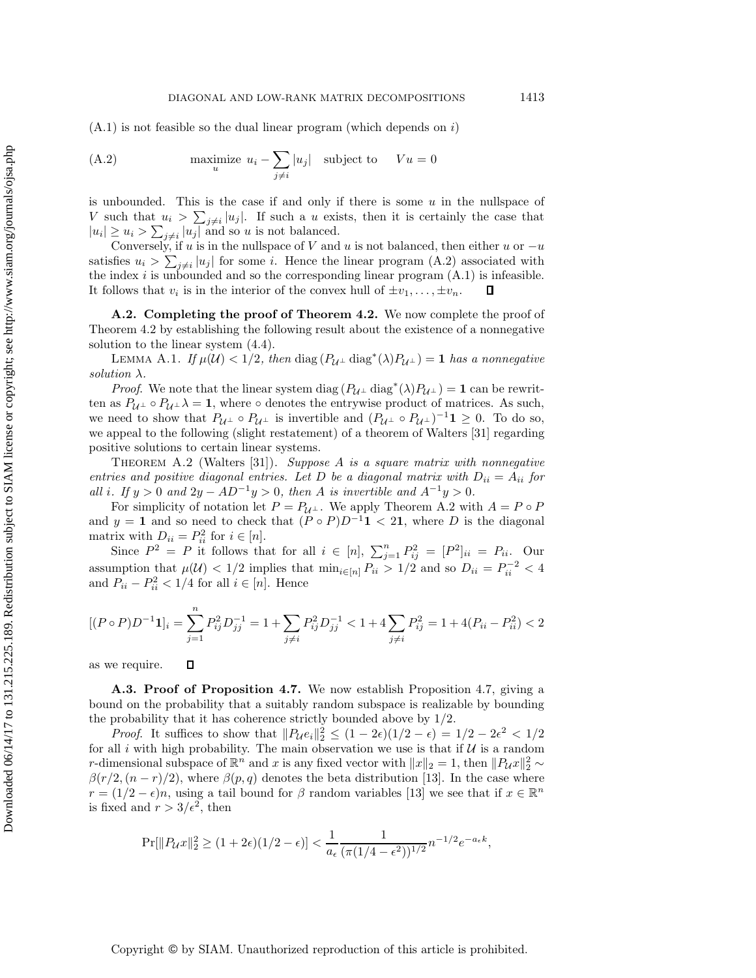(A.2) maximize 
$$
u_i - \sum_{j \neq i} |u_j|
$$
 subject to  $Vu = 0$ 

is unbounded. This is the case if and only if there is some  $u$  in the nullspace of V such that  $u_i > \sum_{j \neq i} |u_j|$ . If such a u exists, then it is certainly the case that  $|u_i| \ge u_i > \sum_{j \neq i} |u_j|$  and so u is not balanced.

Conversely, if u is in the nullspace of V and u is not balanced, then either u or  $-u$ satisfies  $u_i > \sum_{j \neq i} |u_j|$  for some i. Hence the linear program (A.2) associated with the index i is unbounded and so the corresponding linear program  $(A.1)$  is infeasible. It follows that  $v_i$  is in the interior of the convex hull of  $\pm v_1,\ldots,\pm v_n$ .  $\Box$ 

**A.2. Completing the proof of Theorem 4.2.** We now complete the proof of Theorem 4.2 by establishing the following result about the existence of a nonnegative solution to the linear system (4.4).

LEMMA A.1. *If*  $\mu(\mathcal{U}) < 1/2$ , then diag  $(P_{\mathcal{U}^{\perp}}$  diag<sup>\*</sup>( $\lambda)P_{\mathcal{U}^{\perp}}$ ) = 1 *has a nonnegative solution* λ*.*

*Proof.* We note that the linear system diag  $(P_{\mathcal{U}^{\perp}}$  diag<sup>\*</sup>( $\lambda)P_{\mathcal{U}^{\perp}}$ ) = **1** can be rewritten as  $P_{\mathcal{U}^{\perp}} \circ P_{\mathcal{U}^{\perp}} \lambda = 1$ , where  $\circ$  denotes the entrywise product of matrices. As such, we need to show that  $P_{\mathcal{U}^{\perp}} \circ P_{\mathcal{U}^{\perp}}$  is invertible and  $(P_{\mathcal{U}^{\perp}} \circ P_{\mathcal{U}^{\perp}})^{-1} \mathbf{1} \geq 0$ . To do so, we appeal to the following (slight restatement) of a theorem of Walters [31] regarding positive solutions to certain linear systems.

Theorem A.2 (Walters [31]). *Suppose* A *is a square matrix with nonnegative entries and positive diagonal entries. Let* D *be a diagonal matrix with*  $D_{ii} = A_{ii}$  *for all i.* If  $y > 0$  *and*  $2y - AD^{-1}y > 0$ *, then A is invertible and*  $A^{-1}y > 0$ *.* 

For simplicity of notation let  $P = P_{\mathcal{U}^{\perp}}$ . We apply Theorem A.2 with  $A = P \circ P$ and  $y = 1$  and so need to check that  $(P \circ P)D^{-1}1 < 21$ , where D is the diagonal matrix with  $D_{ii} = P_{ii}^2$  for  $i \in [n]$ .

Since  $P^2 = P$  it follows that for all  $i \in [n]$ ,  $\sum_{j=1}^n P_{ij}^2 = [P^2]_{ii} = P_{ii}$ . Our assumption that  $\mu(\mathcal{U}) < 1/2$  implies that  $\min_{i \in [n]} P_{ii} > 1/2$  and so  $D_{ii} = P_{ii}^{-2} < 4$ and  $P_{ii} - P_{ii}^2 < 1/4$  for all  $i \in [n]$ . Hence

$$
[(P \circ P)D^{-1}1]_i = \sum_{j=1}^n P_{ij}^2 D_{jj}^{-1} = 1 + \sum_{j \neq i} P_{ij}^2 D_{jj}^{-1} < 1 + 4 \sum_{j \neq i} P_{ij}^2 = 1 + 4(P_{ii} - P_{ii}^2) < 2
$$

as we require.  $\Box$ 

**A.3. Proof of Proposition 4.7.** We now establish Proposition 4.7, giving a bound on the probability that a suitably random subspace is realizable by bounding the probability that it has coherence strictly bounded above by 1/2.

*Proof.* It suffices to show that  $||P_{\mathcal{U}}e_i||_2^2 \le (1 - 2\epsilon)(1/2 - \epsilon) = 1/2 - 2\epsilon^2 < 1/2$ for all i with high probability. The main observation we use is that if  $\mathcal U$  is a random r-dimensional subspace of  $\mathbb{R}^n$  and x is any fixed vector with  $||x||_2 = 1$ , then  $||P_{\mathcal{U}}x||_2^2 \sim$  $\beta(r/2,(n-r)/2)$ , where  $\beta(p,q)$  denotes the beta distribution [13]. In the case where  $r = (1/2 - \epsilon)n$ , using a tail bound for  $\beta$  random variables [13] we see that if  $x \in \mathbb{R}^n$ is fixed and  $r > 3/\epsilon^2$ , then

$$
\Pr[\|P_{\mathcal{U}}x\|_2^2 \ge (1+2\epsilon)(1/2-\epsilon)] < \frac{1}{a_{\epsilon}} \frac{1}{(\pi(1/4-\epsilon^2))^{1/2}} n^{-1/2} e^{-a_{\epsilon}k},
$$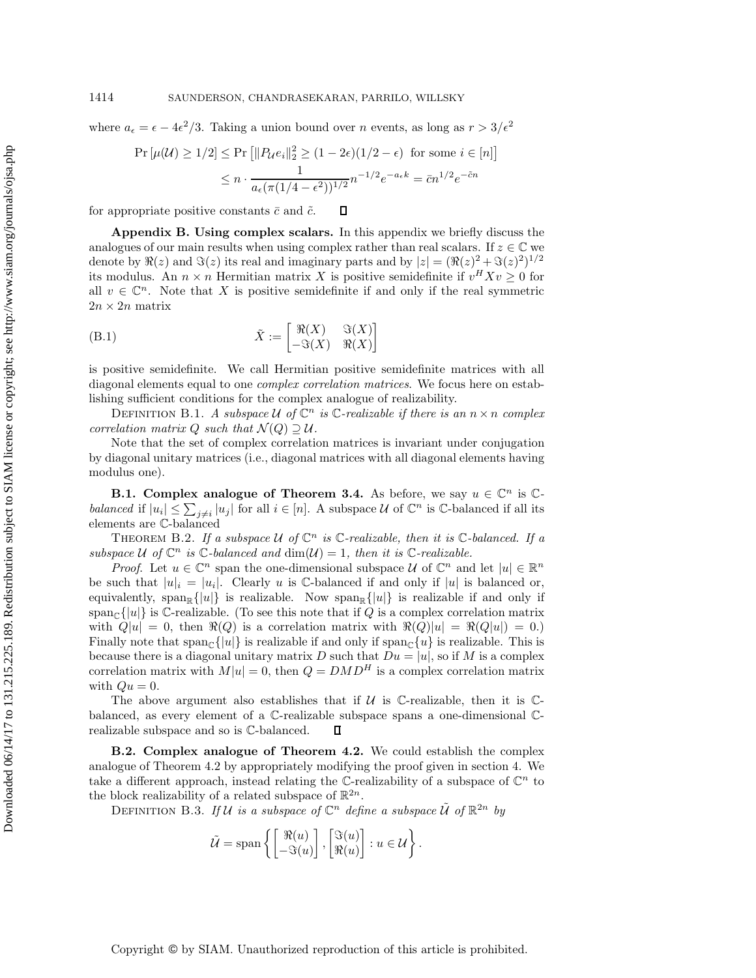where  $a_{\epsilon} = \epsilon - 4\epsilon^2/3$ . Taking a union bound over *n* events, as long as  $r > 3/\epsilon^2$ 

$$
\Pr\left[\mu(\mathcal{U}) \ge 1/2\right] \le \Pr\left[\|P_{\mathcal{U}}e_i\|_2^2 \ge (1 - 2\epsilon)(1/2 - \epsilon) \text{ for some } i \in [n]\right]
$$

$$
\le n \cdot \frac{1}{a_{\epsilon}(\pi(1/4 - \epsilon^2))^{1/2}} n^{-1/2} e^{-a_{\epsilon}k} = \bar{c}n^{1/2} e^{-\bar{c}n}
$$

 $\overline{\phantom{a}}$ 

for appropriate positive constants  $\bar{c}$  and  $\tilde{c}$ .  $\Box$ 

**Appendix B. Using complex scalars.** In this appendix we briefly discuss the analogues of our main results when using complex rather than real scalars. If  $z \in \mathbb{C}$  we denote by  $\Re(z)$  and  $\Im(z)$  its real and imaginary parts and by  $|z| = (\Re(z)^2 + \Im(z)^2)^{1/2}$ its modulus. An  $n \times n$  Hermitian matrix X is positive semidefinite if  $v^H X v \geq 0$  for all  $v \in \mathbb{C}^n$ . Note that X is positive semidefinite if and only if the real symmetric  $2n \times 2n$  matrix

(B.1) 
$$
\tilde{X} := \begin{bmatrix} \Re(X) & \Im(X) \\ -\Im(X) & \Re(X) \end{bmatrix}
$$

is positive semidefinite. We call Hermitian positive semidefinite matrices with all diagonal elements equal to one *complex correlation matrices*. We focus here on establishing sufficient conditions for the complex analogue of realizability.

DEFINITION B.1. *A subspace*  $U$  of  $\mathbb{C}^n$  *is*  $\mathbb{C}$ -realizable if there is an  $n \times n$  complex *correlation matrix*  $Q$  *such that*  $\mathcal{N}(Q) \supseteq \mathcal{U}$ *.* 

Note that the set of complex correlation matrices is invariant under conjugation by diagonal unitary matrices (i.e., diagonal matrices with all diagonal elements having modulus one).

**B.1.** Complex analogue of Theorem 3.4. As before, we say  $u \in \mathbb{C}^n$  is  $\mathbb{C}$ *balanced* if  $|u_i| \leq \sum_{j \neq i} |u_j|$  for all  $i \in [n]$ . A subspace U of  $\mathbb{C}^n$  is C-balanced if all its elements are C-balanced

THEOREM B.2. If a subspace  $U$  of  $\mathbb{C}^n$  is  $\mathbb{C}$ -realizable, then it is  $\mathbb{C}$ -balanced. If a *subspace*  $U$  *of*  $\mathbb{C}^n$  *is*  $\mathbb{C}$ *-balanced and*  $\dim(U) = 1$ *, then it is*  $\mathbb{C}$ *-realizable.* 

*Proof.* Let  $u \in \mathbb{C}^n$  span the one-dimensional subspace U of  $\mathbb{C}^n$  and let  $|u| \in \mathbb{R}^n$ be such that  $|u|_i = |u_i|$ . Clearly u is C-balanced if and only if  $|u|$  is balanced or, equivalently,  $\text{span}_{\mathbb{R}}\{|u|\}$  is realizable. Now  $\text{span}_{\mathbb{R}}\{|u|\}$  is realizable if and only if span<sub>C</sub>{|u|} is C-realizable. (To see this note that if Q is a complex correlation matrix with  $Q|u| = 0$ , then  $\Re(Q)$  is a correlation matrix with  $\Re(Q)|u| = \Re(Q|u|) = 0.$ Finally note that  $\text{span}_{\mathbb{C}}\{|u|\}$  is realizable if and only if  $\text{span}_{\mathbb{C}}\{u\}$  is realizable. This is because there is a diagonal unitary matrix D such that  $Du = |u|$ , so if M is a complex correlation matrix with  $M|u| = 0$ , then  $Q = DMD^H$  is a complex correlation matrix with  $Qu = 0$ .

The above argument also establishes that if  $U$  is  $\mathbb{C}$ -realizable, then it is  $\mathbb{C}$ balanced, as every element of a C-realizable subspace spans a one-dimensional Crealizable subspace and so is C-balanced.  $\Box$ 

**B.2. Complex analogue of Theorem 4.2.** We could establish the complex analogue of Theorem 4.2 by appropriately modifying the proof given in section 4. We take a different approach, instead relating the C-realizability of a subspace of  $\mathbb{C}^n$  to the block realizability of a related subspace of  $\mathbb{R}^{2n}$ .

DEFINITION B.3. If U is a subspace of  $\mathbb{C}^n$  define a subspace  $\tilde{\mathcal{U}}$  of  $\mathbb{R}^{2n}$  by

$$
\tilde{\mathcal{U}} = \text{span}\left\{ \begin{bmatrix} \Re(u) \\ -\Im(u) \end{bmatrix}, \begin{bmatrix} \Im(u) \\ \Re(u) \end{bmatrix} : u \in \mathcal{U} \right\}.
$$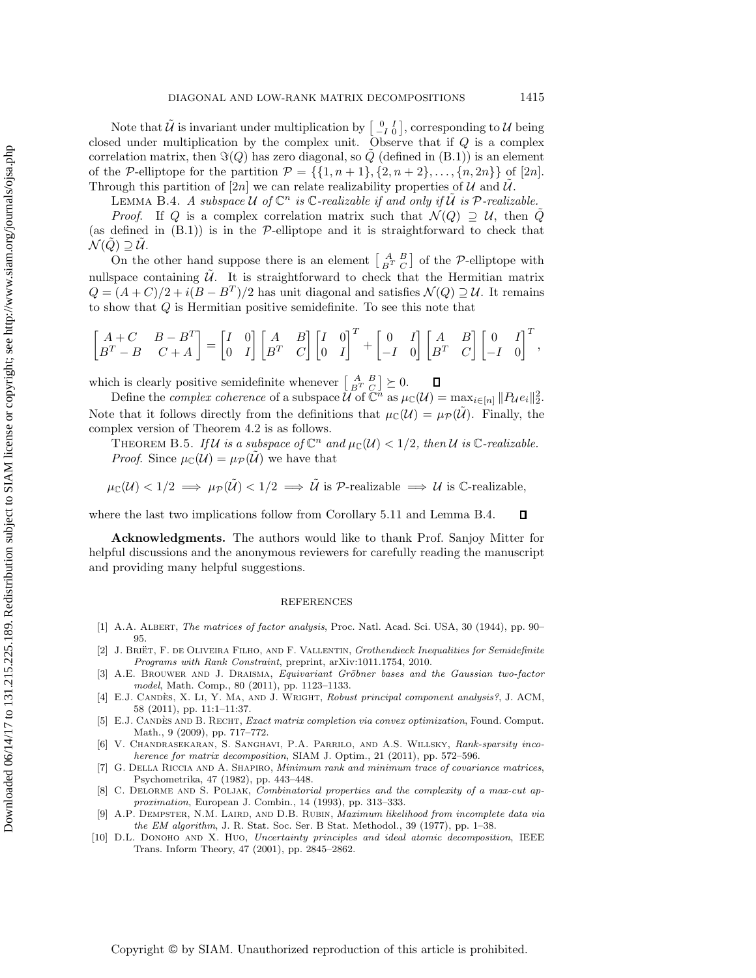Note that  $\tilde{U}$  is invariant under multiplication by  $\begin{bmatrix} 0 & I \\ -I & 0 \end{bmatrix}$ , corresponding to  $\mathcal{U}$  being closed under multiplication by the complex unit. Observe that if Q is a complex correlation matrix, then  $\Im(Q)$  has zero diagonal, so Q (defined in (B.1)) is an element of the P-elliptope for the partition  $\mathcal{P} = \{ \{1, n+1\}, \{2, n+2\}, \ldots, \{n, 2n\} \}$  of [2n]. Through this partition of [2n] we can relate realizability properties of  $U$  and  $U$ .

LEMMA B.4. *A subspace*  $U$  *of*  $\mathbb{C}^n$  *is*  $\mathbb{C}$ *-realizable if and only if*  $\widetilde{U}$  *is*  $\mathcal{P}$ *-realizable.* 

*Proof.* If Q is a complex correlation matrix such that  $\mathcal{N}(Q) \supseteq \mathcal{U}$ , then  $\tilde{Q}$ (as defined in  $(B.1)$ ) is in the P-elliptope and it is straightforward to check that  $\mathcal{N}(\tilde{Q}) \supseteq \mathcal{U}$ .

On the other hand suppose there is an element  $\begin{bmatrix} A & B \\ B^T & C \end{bmatrix}$  of the P-elliptope with nullspace containing  $\tilde{U}$ . It is straightforward to check that the Hermitian matrix  $Q = (A+C)/2 + i(B-B^T)/2$  has unit diagonal and satisfies  $\mathcal{N}(Q) \supseteq \mathcal{U}$ . It remains to show that Q is Hermitian positive semidefinite. To see this note that

$$
\begin{bmatrix} A+C & B-B^T \\ B^T-B & C+A \end{bmatrix}=\begin{bmatrix} I & 0 \\ 0 & I \end{bmatrix}\begin{bmatrix} A & B \\ B^T & C \end{bmatrix}\begin{bmatrix} I & 0 \\ 0 & I \end{bmatrix}^T+\begin{bmatrix} 0 & I \\ -I & 0 \end{bmatrix}\begin{bmatrix} A & B \\ B^T & C \end{bmatrix}\begin{bmatrix} 0 & I \\ -I & 0 \end{bmatrix}^T,
$$

which is clearly positive semidefinite whenever  $\begin{bmatrix} A & B \\ B^T & C \end{bmatrix} \succeq 0$ .

Define the *complex coherence* of a subspace  $\mathcal{U}^B$  of  $\mathbb{C}^n$  as  $\mu_{\mathbb{C}}(\mathcal{U}) = \max_{i \in [n]} \|P_{\mathcal{U}}e_i\|_2^2$ . Note that it follows directly from the definitions that  $\mu_{\mathbb{C}}(\mathcal{U}) = \mu_{\mathcal{P}}(\tilde{\mathcal{U}})$ . Finally, the complex version of Theorem 4.2 is as follows.

THEOREM B.5. *If*  $U$  *is a subspace of*  $\mathbb{C}^n$  *and*  $\mu_{\mathbb{C}}(U) < 1/2$ *, then*  $U$  *is*  $\mathbb{C}$ *-realizable. Proof.* Since  $\mu_{\mathbb{C}}(\mathcal{U}) = \mu_{\mathcal{P}}(\mathcal{U})$  we have that

$$
\mu_{\mathbb{C}}(\mathcal{U}) < 1/2 \implies \mu_{\mathcal{P}}(\tilde{\mathcal{U}}) < 1/2 \implies \tilde{\mathcal{U}} \text{ is } \mathcal{P}\text{-realizable} \implies \mathcal{U} \text{ is } \mathbb{C}\text{-realizable},
$$

where the last two implications follow from Corollary 5.11 and Lemma B.4.  $\Box$ 

**Acknowledgments.** The authors would like to thank Prof. Sanjoy Mitter for helpful discussions and the anonymous reviewers for carefully reading the manuscript and providing many helpful suggestions.

#### REFERENCES

- [1] A.A. Albert, The matrices of factor analysis, Proc. Natl. Acad. Sci. USA, 30 (1944), pp. 90– 95.
- [2] J. BRIËT, F. DE OLIVEIRA FILHO, AND F. VALLENTIN, Grothendieck Inequalities for Semidefinite Programs with Rank Constraint, preprint, arXiv:1011.1754, 2010.
- A.E. BROUWER AND J. DRAISMA, Equivariant Gröbner bases and the Gaussian two-factor model, Math. Comp., 80 (2011), pp. 1123–1133.
- [4] E.J. CANDÈS, X. LI, Y. MA, AND J. WRIGHT, Robust principal component analysis?, J. ACM, 58 (2011), pp. 11:1–11:37.
- [5] E.J. CANDÈS AND B. RECHT, *Exact matrix completion via convex optimization*, Found. Comput. Math., 9 (2009), pp. 717–772.
- [6] V. Chandrasekaran, S. Sanghavi, P.A. Parrilo, and A.S. Willsky, Rank-sparsity incoherence for matrix decomposition, SIAM J. Optim., 21 (2011), pp. 572–596.
- [7] G. Della Riccia and A. Shapiro, Minimum rank and minimum trace of covariance matrices, Psychometrika, 47 (1982), pp. 443–448.
- [8] C. DELORME AND S. POLJAK, Combinatorial properties and the complexity of a max-cut approximation, European J. Combin., 14 (1993), pp. 313–333.
- [9] A.P. DEMPSTER, N.M. LAIRD, AND D.B. RUBIN, *Maximum likelihood from incomplete data via* the EM algorithm, J. R. Stat. Soc. Ser. B Stat. Methodol., 39 (1977), pp. 1–38.
- [10] D.L. DONOHO AND X. HUO, Uncertainty principles and ideal atomic decomposition, IEEE Trans. Inform Theory, 47 (2001), pp. 2845–2862.